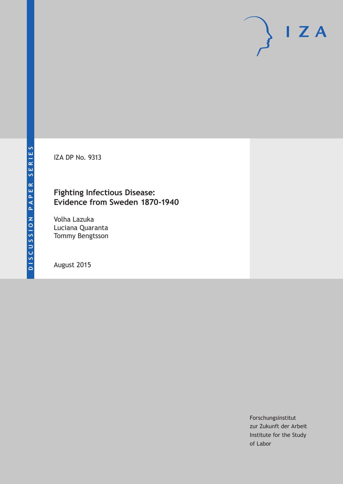IZA DP No. 9313

# **Fighting Infectious Disease: Evidence from Sweden 1870-1940**

Volha Lazuka Luciana Quaranta Tommy Bengtsson

August 2015

Forschungsinstitut zur Zukunft der Arbeit Institute for the Study of Labor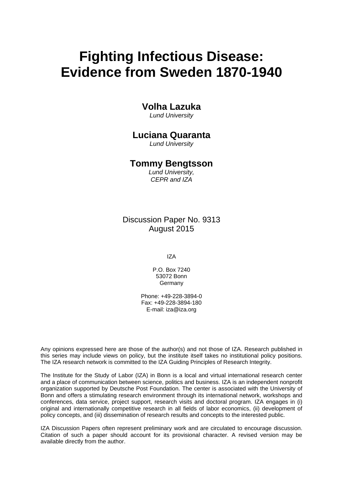# **Fighting Infectious Disease: Evidence from Sweden 1870-1940**

# **Volha Lazuka**

*Lund University* 

# **Luciana Quaranta**

*Lund University* 

# **Tommy Bengtsson**

*Lund University, CEPR and IZA*

Discussion Paper No. 9313 August 2015

IZA

P.O. Box 7240 53072 Bonn Germany

Phone: +49-228-3894-0 Fax: +49-228-3894-180 E-mail: iza@iza.org

Any opinions expressed here are those of the author(s) and not those of IZA. Research published in this series may include views on policy, but the institute itself takes no institutional policy positions. The IZA research network is committed to the IZA Guiding Principles of Research Integrity.

The Institute for the Study of Labor (IZA) in Bonn is a local and virtual international research center and a place of communication between science, politics and business. IZA is an independent nonprofit organization supported by Deutsche Post Foundation. The center is associated with the University of Bonn and offers a stimulating research environment through its international network, workshops and conferences, data service, project support, research visits and doctoral program. IZA engages in (i) original and internationally competitive research in all fields of labor economics, (ii) development of policy concepts, and (iii) dissemination of research results and concepts to the interested public.

IZA Discussion Papers often represent preliminary work and are circulated to encourage discussion. Citation of such a paper should account for its provisional character. A revised version may be available directly from the author.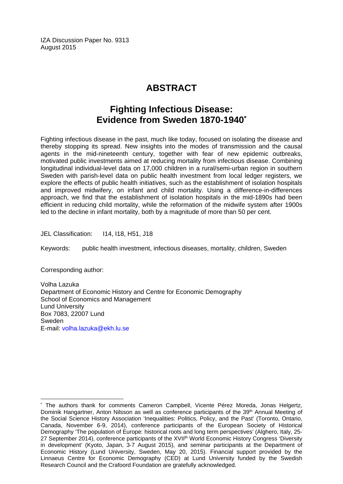IZA Discussion Paper No. 9313 August 2015

# **ABSTRACT**

# **Fighting Infectious Disease: Evidence from Sweden 1870-1940\***

Fighting infectious disease in the past, much like today, focused on isolating the disease and thereby stopping its spread. New insights into the modes of transmission and the causal agents in the mid-nineteenth century, together with fear of new epidemic outbreaks, motivated public investments aimed at reducing mortality from infectious disease. Combining longitudinal individual-level data on 17,000 children in a rural/semi-urban region in southern Sweden with parish-level data on public health investment from local ledger registers, we explore the effects of public health initiatives, such as the establishment of isolation hospitals and improved midwifery, on infant and child mortality. Using a difference-in-differences approach, we find that the establishment of isolation hospitals in the mid-1890s had been efficient in reducing child mortality, while the reformation of the midwife system after 1900s led to the decline in infant mortality, both by a magnitude of more than 50 per cent.

JEL Classification: I14, I18, H51, J18

Keywords: public health investment, infectious diseases, mortality, children, Sweden

Corresponding author:

 $\overline{a}$ 

Volha Lazuka Department of Economic History and Centre for Economic Demography School of Economics and Management Lund University Box 7083, 22007 Lund Sweden E-mail: volha.lazuka@ekh.lu.se

<sup>\*</sup> The authors thank for comments Cameron Campbell, Vicente Pérez Moreda, Jonas Helgertz, Dominik Hangartner, Anton Nilsson as well as conference participants of the 39<sup>th</sup> Annual Meeting of the Social Science History Association 'Inequalities: Politics, Policy, and the Past' (Toronto, Ontario, Canada, November 6-9, 2014), conference participants of the European Society of Historical Demography 'The population of Europe: historical roots and long term perspectives' (Alghero, Italy, 25- 27 September 2014), conference participants of the XVII<sup>th</sup> World Economic History Congress 'Diversity in development' (Kyoto, Japan, 3-7 August 2015), and seminar participants at the Department of Economic History (Lund University, Sweden, May 20, 2015). Financial support provided by the Linnaeus Centre for Economic Demography (CED) at Lund University funded by the Swedish Research Council and the Crafoord Foundation are gratefully acknowledged.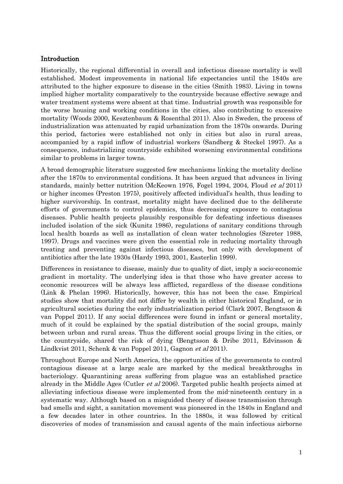### Introduction

Historically, the regional differential in overall and infectious disease mortality is well established. Modest improvements in national life expectancies until the 1840s are attributed to the higher exposure to disease in the cities (Smith 1983). Living in towns implied higher mortality comparatively to the countryside because effective sewage and water treatment systems were absent at that time. Industrial growth was responsible for the worse housing and working conditions in the cities, also contributing to excessive mortality (Woods 2000, Kesztenbaum & Rosenthal 2011). Also in Sweden, the process of industrialization was attenuated by rapid urbanization from the 1870s onwards. During this period, factories were established not only in cities but also in rural areas, accompanied by a rapid inflow of industrial workers (Sandberg & Steckel 1997). As a consequence, industrializing countryside exhibited worsening environmental conditions similar to problems in larger towns.

A broad demographic literature suggested few mechanisms linking the mortality decline after the 1870s to environmental conditions. It has been argued that advances in living standards, mainly better nutrition (McKeown 1976, Fogel 1994, 2004, Floud et al 2011) or higher incomes (Preston 1975), positively affected individual's health, thus leading to higher survivorship. In contrast, mortality might have declined due to the deliberate efforts of governments to control epidemics, thus decreasing exposure to contagious diseases. Public health projects plausibly responsible for defeating infectious diseases included isolation of the sick (Kunitz 1986), regulations of sanitary conditions through local health boards as well as installation of clean water technologies (Szreter 1988, 1997). Drugs and vaccines were given the essential role in reducing mortality through treating and preventing against infectious diseases, but only with development of antibiotics after the late 1930s (Hardy 1993, 2001, Easterlin 1999).

Differences in resistance to disease, mainly due to quality of diet, imply a socio-economic gradient in mortality. The underlying idea is that those who have greater access to economic resources will be always less afflicted, regardless of the disease conditions (Link & Phelan 1996). Historically, however, this has not been the case. Empirical studies show that mortality did not differ by wealth in either historical England, or in agricultural societies during the early industrialization period (Clark 2007, Bengtsson & van Poppel 2011). If any social differences were found in infant or general mortality, much of it could be explained by the spatial distribution of the social groups, mainly between urban and rural areas. Thus the different social groups living in the cities, or the countryside, shared the risk of dying (Bengtsson & Dribe 2011, Edvinsson & Lindkvist 2011, Schenk & van Poppel 2011, Gagnon et al 2011).

Throughout Europe and North America, the opportunities of the governments to control contagious disease at a large scale are marked by the medical breakthroughs in bacteriology. Quarantining areas suffering from plague was an established practice already in the Middle Ages (Cutler et al 2006). Targeted public health projects aimed at alleviating infectious disease were implemented from the mid-nineteenth century in a systematic way. Although based on a misguided theory of disease transmission through bad smells and sight, a sanitation movement was pioneered in the 1840s in England and a few decades later in other countries. In the 1880s, it was followed by critical discoveries of modes of transmission and causal agents of the main infectious airborne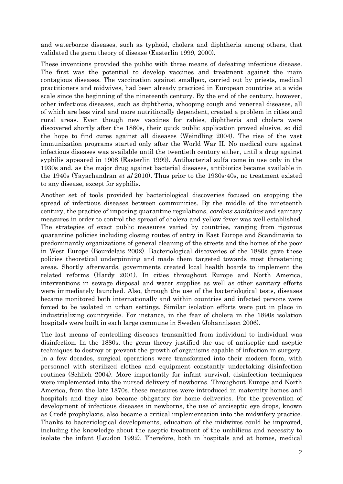and waterborne diseases, such as typhoid, cholera and diphtheria among others, that validated the germ theory of disease (Easterlin 1999, 2000).

These inventions provided the public with three means of defeating infectious disease. The first was the potential to develop vaccines and treatment against the main contagious diseases. The vaccination against smallpox, carried out by priests, medical practitioners and midwives, had been already practiced in European countries at a wide scale since the beginning of the nineteenth century. By the end of the century, however, other infectious diseases, such as diphtheria, whooping cough and venereal diseases, all of which are less viral and more nutritionally dependent, created a problem in cities and rural areas. Even though new vaccines for rabies, diphtheria and cholera were discovered shortly after the 1880s, their quick public application proved elusive, so did the hope to find cures against all diseases (Weindling 2004). The rise of the vast immunization programs started only after the World War II. No medical cure against infectious diseases was available until the twentieth century either, until a drug against syphilis appeared in 1908 (Easterlin 1999). Antibacterial sulfa came in use only in the 1930s and, as the major drug against bacterial diseases, antibiotics became available in the 1940s (Yayachandran et al 2010). Thus prior to the 1930s-40s, no treatment existed to any disease, except for syphilis.

Another set of tools provided by bacteriological discoveries focused on stopping the spread of infectious diseases between communities. By the middle of the nineteenth century, the practice of imposing quarantine regulations, *cordons sanitaires* and sanitary measures in order to control the spread of cholera and yellow fever was well established. The strategies of exact public measures varied by countries, ranging from rigorous quarantine policies including closing routes of entry in East Europe and Scandinavia to predominantly organizations of general cleaning of the streets and the homes of the poor in West Europe (Bourdelais 2002). Bacteriological discoveries of the 1880s gave these policies theoretical underpinning and made them targeted towards most threatening areas. Shortly afterwards, governments created local health boards to implement the related reforms (Hardy 2001). In cities throughout Europe and North America, interventions in sewage disposal and water supplies as well as other sanitary efforts were immediately launched. Also, through the use of the bacteriological tests, diseases became monitored both internationally and within countries and infected persons were forced to be isolated in urban settings. Similar isolation efforts were put in place in industrializing countryside. For instance, in the fear of cholera in the 1890s isolation hospitals were built in each large commune in Sweden (Johannisson 2006).

The last means of controlling diseases transmitted from individual to individual was disinfection. In the 1880s, the germ theory justified the use of antiseptic and aseptic techniques to destroy or prevent the growth of organisms capable of infection in surgery. In a few decades, surgical operations were transformed into their modern form, with personnel with sterilized clothes and equipment constantly undertaking disinfection routines (Schlich 2004). More importantly for infant survival, disinfection techniques were implemented into the nursed delivery of newborns. Throughout Europe and North America, from the late 1870s, these measures were introduced in maternity homes and hospitals and they also became obligatory for home deliveries. For the prevention of development of infectious diseases in newborns, the use of antiseptic eye drops, known as Credé prophylaxis, also became a critical implementation into the midwifery practice. Thanks to bacteriological developments, education of the midwives could be improved, including the knowledge about the aseptic treatment of the umbilicus and necessity to isolate the infant (Loudon 1992). Therefore, both in hospitals and at homes, medical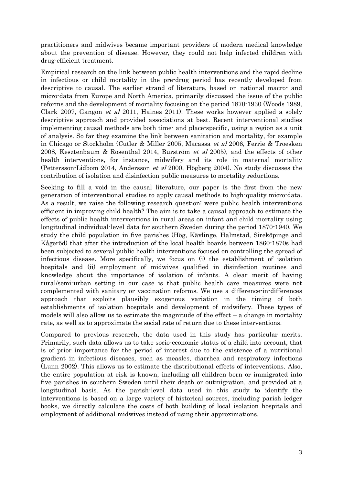practitioners and midwives became important providers of modern medical knowledge about the prevention of disease. However, they could not help infected children with drug-efficient treatment.

Empirical research on the link between public health interventions and the rapid decline in infectious or child mortality in the pre-drug period has recently developed from descriptive to causal. The earlier strand of literature, based on national macro- and micro-data from Europe and North America, primarily discussed the issue of the public reforms and the development of mortality focusing on the period 1870-1930 (Woods 1989, Clark 2007, Gangon et al 2011, Haines 2011). These works however applied a solely descriptive approach and provided associations at best. Recent interventional studies implementing causal methods are both time- and place-specific, using a region as a unit of analysis. So far they examine the link between sanitation and mortality, for example in Chicago or Stockholm (Cutler & Miller 2005, Macassa et al 2006, Ferrie & Troesken 2008, Kesztenbaum & Rosenthal 2014, Burström et al 2005), and the effects of other health interventions, for instance, midwifery and its role in maternal mortality (Pettersson-Lidbom 2014, Andersson et al 2000, Högberg 2004). No study discusses the contribution of isolation and disinfection public measures to mortality reductions.

Seeking to fill a void in the causal literature, our paper is the first from the new generation of interventional studies to apply causal methods to high-quality micro-data. As a result, we raise the following research question: were public health interventions efficient in improving child health? The aim is to take a causal approach to estimate the effects of public health interventions in rural areas on infant and child mortality using longitudinal individual-level data for southern Sweden during the period 1870-1940. We study the child population in five parishes (Hög, Kävlinge, Halmstad, Sireköpinge and Kågeröd) that after the introduction of the local health boards between 1860-1870s had been subjected to several public health interventions focused on controlling the spread of infectious disease. More specifically, we focus on (i) the establishment of isolation hospitals and (ii) employment of midwives qualified in disinfection routines and knowledge about the importance of isolation of infants. A clear merit of having rural/semi-urban setting in our case is that public health care measures were not complemented with sanitary or vaccination reforms. We use a difference-in-differences approach that exploits plausibly exogenous variation in the timing of both establishments of isolation hospitals and development of midwifery. These types of models will also allow us to estimate the magnitude of the effect – a change in mortality rate, as well as to approximate the social rate of return due to these interventions.

Compared to previous research, the data used in this study has particular merits. Primarily, such data allows us to take socio-economic status of a child into account, that is of prior importance for the period of interest due to the existence of a nutritional gradient in infectious diseases, such as measles, diarrhea and respiratory infections (Lunn 2002). This allows us to estimate the distributional effects of interventions. Also, the entire population at risk is known, including all children born or immigrated into five parishes in southern Sweden until their death or outmigration, and provided at a longitudinal basis. As the parish-level data used in this study to identify the interventions is based on a large variety of historical sources, including parish ledger books, we directly calculate the costs of both building of local isolation hospitals and employment of additional midwives instead of using their approximations.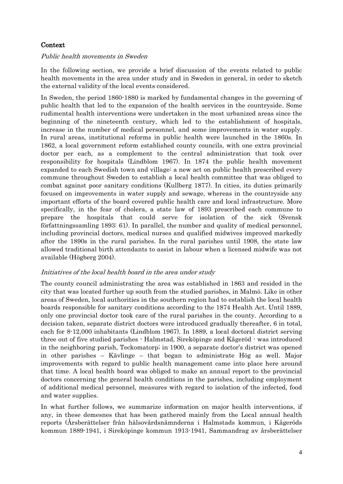# Context

#### Public health movements in Sweden

In the following section, we provide a brief discussion of the events related to public health movements in the area under study and in Sweden in general, in order to sketch the external validity of the local events considered.

In Sweden, the period 1860-1880 is marked by fundamental changes in the governing of public health that led to the expansion of the health services in the countryside. Some rudimental health interventions were undertaken in the most urbanized areas since the beginning of the nineteenth century, which led to the establishment of hospitals, increase in the number of medical personnel, and some improvements in water supply. In rural areas, institutional reforms in public health were launched in the 1860s. In 1862, a local government reform established county councils, with one extra provincial doctor per each, as a complement to the central administration that took over responsibility for hospitals (Lindblom 1967). In 1874 the public health movement expanded to each Swedish town and village: a new act on public health prescribed every commune throughout Sweden to establish a local health committee that was obliged to combat against poor sanitary conditions (Kullberg 1877). In cities, its duties primarily focused on improvements in water supply and sewage, whereas in the countryside any important efforts of the board covered public health care and local infrastructure. More specifically, in the fear of cholera, a state law of 1893 prescribed each commune to prepare the hospitals that could serve for isolation of the sick (Svensk författningssamling 1893: 61). In parallel, the number and quality of medical personnel, including provincial doctors, medical nurses and qualified midwives improved markedly after the 1890s in the rural parishes. In the rural parishes until 1908, the state law allowed traditional birth attendants to assist in labour when a licensed midwife was not available (Högberg 2004).

# Initiatives of the local health board in the area under study

The county council administrating the area was established in 1863 and resided in the city that was located further up south from the studied parishes, in Malmö. Like in other areas of Sweden, local authorities in the southern region had to establish the local health boards responsible for sanitary conditions according to the 1874 Health Act. Until 1889, only one provincial doctor took care of the rural parishes in the county. According to a decision taken, separate district doctors were introduced gradually thereafter, 6 in total, each for 8-12,000 inhabitants (Lindblom 1967). In 1889, a local doctoral district serving three out of five studied parishes - Halmstad, Sireköpinge and Kågeröd - was introduced in the neighboring parish, Teckomatorp; in 1900, a separate doctor's district was opened in other parishes – Kävlinge – that began to administrate Hög as well. Major improvements with regard to public health management came into place here around that time. A local health board was obliged to make an annual report to the provincial doctors concerning the general health conditions in the parishes, including employment of additional medical personnel, measures with regard to isolation of the infected, food and water supplies.

In what further follows, we summarize information on major health interventions, if any, in these demesnes that has been gathered mainly from the Local annual health reports (Årsberättelser från hälsovårdsnämnderna i Halmstads kommun, i Kågeröds kommun 1889-1941, i Sireköpinge kommun 1913-1941, Sammandrag av årsberättelser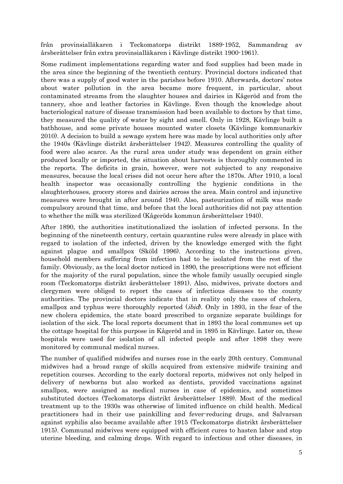från provinsialläkaren i Teckomatorps distrikt 1889-1952, Sammandrag av årsberättelser från extra provinsialläkaren i Kävlinge distrikt 1900-1961).

Some rudiment implementations regarding water and food supplies had been made in the area since the beginning of the twentieth century. Provincial doctors indicated that there was a supply of good water in the parishes before 1910. Afterwards, doctors' notes about water pollution in the area became more frequent, in particular, about contaminated streams from the slaughter houses and dairies in Kågeröd and from the tannery, shoe and leather factories in Kävlinge. Even though the knowledge about bacteriological nature of disease transmission had been available to doctors by that time, they measured the quality of water by sight and smell. Only in 1928, Kävlinge built a bathhouse, and some private houses mounted water closets (Kävlinge kommunarkiv 2010). A decision to build a sewage system here was made by local authorities only after the 1940s (Kävlinge distrikt årsberättelser 1942). Measures controlling the quality of food were also scarce. As the rural area under study was dependent on grain either produced locally or imported, the situation about harvests is thoroughly commented in the reports. The deficits in grain, however, were not subjected to any responsive measures, because the local crises did not occur here after the 1870s. After 1910, a local health inspector was occasionally controlling the hygienic conditions in the slaughterhouses, grocery stores and dairies across the area. Main control and injunctive measures were brought in after around 1940. Also, pasteurization of milk was made compulsory around that time, and before that the local authorities did not pay attention to whether the milk was sterilized (Kågeröds kommun årsberättelser 1940).

After 1890, the authorities institutionalized the isolation of infected persons. In the beginning of the nineteenth century, certain quarantine rules were already in place with regard to isolation of the infected, driven by the knowledge emerged with the fight against plague and smallpox (Sköld 1996). According to the instructions given, household members suffering from infection had to be isolated from the rest of the family. Obviously, as the local doctor noticed in 1890, the prescriptions were not efficient for the majority of the rural population, since the whole family usually occupied single room (Teckomatorps distrikt årsberättelser 1891). Also, midwives, private doctors and clergymen were obliged to report the cases of infectious diseases to the county authorities. The provincial doctors indicate that in reality only the cases of cholera, smallpox and typhus were thoroughly reported *(ibid)*. Only in 1893, in the fear of the new cholera epidemics, the state board prescribed to organize separate buildings for isolation of the sick. The local reports document that in 1893 the local communes set up the cottage hospital for this purpose in Kågeröd and in 1895 in Kävlinge. Later on, these hospitals were used for isolation of all infected people and after 1898 they were monitored by communal medical nurses.

The number of qualified midwifes and nurses rose in the early 20th century. Communal midwives had a broad range of skills acquired from extensive midwife training and repetition courses. According to the early doctoral reports, midwives not only helped in delivery of newborns but also worked as dentists, provided vaccinations against smallpox, were assigned as medical nurses in case of epidemics, and sometimes substituted doctors (Teckomatorps distrikt årsberättelser 1889). Most of the medical treatment up to the 1930s was otherwise of limited influence on child health. Medical practitioners had in their use painkilling and fever-reducing drugs, and Salvarsan against syphilis also became available after 1915 (Teckomatorps distrikt årsberättelser 1915). Communal midwives were equipped with efficient cures to hasten labor and stop uterine bleeding, and calming drops. With regard to infectious and other diseases, in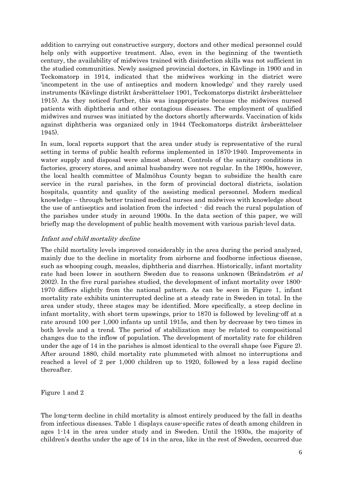addition to carrying out constructive surgery, doctors and other medical personnel could help only with supportive treatment. Also, even in the beginning of the twentieth century, the availability of midwives trained with disinfection skills was not sufficient in the studied communities. Newly assigned provincial doctors, in Kävlinge in 1900 and in Teckomatorp in 1914, indicated that the midwives working in the district were 'incompetent in the use of antiseptics and modern knowledge' and they rarely used instruments (Kävlinge distrikt årsberättelser 1901, Teckomatorps distrikt årsberättelser 1915). As they noticed further, this was inappropriate because the midwives nursed patients with diphtheria and other contagious diseases. The employment of qualified midwives and nurses was initiated by the doctors shortly afterwards. Vaccination of kids against diphtheria was organized only in 1944 (Teckomatorps distrikt årsberättelser 1945).

In sum, local reports support that the area under study is representative of the rural setting in terms of public health reforms implemented in 1870-1940. Improvements in water supply and disposal were almost absent. Controls of the sanitary conditions in factories, grocery stores, and animal husbandry were not regular. In the 1890s, however, the local health committee of Malmöhus County began to subsidize the health care service in the rural parishes, in the form of provincial doctoral districts, isolation hospitals, quantity and quality of the assisting medical personnel. Modern medical knowledge – through better trained medical nurses and midwives with knowledge about the use of antiseptics and isolation from the infected - did reach the rural population of the parishes under study in around 1900s. In the data section of this paper, we will briefly map the development of public health movement with various parish-level data.

#### Infant and child mortality decline

The child mortality levels improved considerably in the area during the period analyzed, mainly due to the decline in mortality from airborne and foodborne infectious disease, such as whooping cough, measles, diphtheria and diarrhea. Historically, infant mortality rate had been lower in southern Sweden due to reasons unknown (Brändström *et al* 2002). In the five rural parishes studied, the development of infant mortality over 1800- 1970 differs slightly from the national pattern. As can be seen in Figure 1, infant mortality rate exhibits uninterrupted decline at a steady rate in Sweden in total. In the area under study, three stages may be identified. More specifically, a steep decline in infant mortality, with short term upswings, prior to 1870 is followed by leveling-off at a rate around 100 per 1,000 infants up until 1915s, and then by decrease by two times in both levels and a trend. The period of stabilization may be related to compositional changes due to the inflow of population. The development of mortality rate for children under the age of 14 in the parishes is almost identical to the overall shape (see Figure 2). After around 1880, child mortality rate plummeted with almost no interruptions and reached a level of 2 per 1,000 children up to 1920, followed by a less rapid decline thereafter.

Figure 1 and 2

The long-term decline in child mortality is almost entirely produced by the fall in deaths from infectious diseases. Table 1 displays cause-specific rates of death among children in ages 1-14 in the area under study and in Sweden. Until the 1930s, the majority of children's deaths under the age of 14 in the area, like in the rest of Sweden, occurred due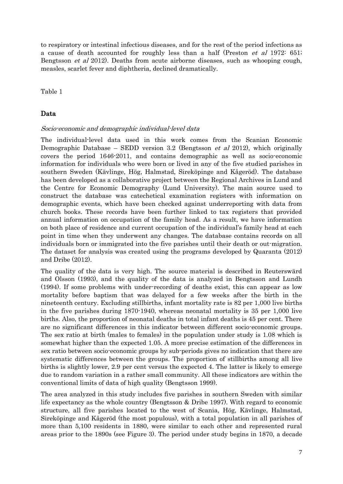to respiratory or intestinal infectious diseases, and for the rest of the period infections as a cause of death accounted for roughly less than a half (Preston *et al* 1972: 651; Bengtsson et al 2012). Deaths from acute airborne diseases, such as whooping cough, measles, scarlet fever and diphtheria, declined dramatically.

Table 1

#### Data

#### Socio-economic and demographic individual-level data

The individual-level data used in this work comes from the Scanian Economic Demographic Database – SEDD version 3.2 (Bengtsson et al 2012), which originally covers the period 1646-2011, and contains demographic as well as socio-economic information for individuals who were born or lived in any of the five studied parishes in southern Sweden (Kävlinge, Hög, Halmstad, Sireköpinge and Kågeröd). The database has been developed as a collaborative project between the Regional Archives in Lund and the Centre for Economic Demography (Lund University). The main source used to construct the database was catechetical examination registers with information on demographic events, which have been checked against underreporting with data from church books. These records have been further linked to tax registers that provided annual information on occupation of the family head. As a result, we have information on both place of residence and current occupation of the individual's family head at each point in time when they underwent any changes. The database contains records on all individuals born or immigrated into the five parishes until their death or out-migration. The dataset for analysis was created using the programs developed by Quaranta (2012) and Dribe (2012).

The quality of the data is very high. The source material is described in Reuterswärd and Olsson (1993), and the quality of the data is analyzed in Bengtsson and Lundh (1994). If some problems with under-recording of deaths exist, this can appear as low mortality before baptism that was delayed for a few weeks after the birth in the nineteenth century. Excluding stillbirths, infant mortality rate is 82 per 1,000 live births in the five parishes during 1870-1940, whereas neonatal mortality is 35 per 1,000 live births. Also, the proportion of neonatal deaths in total infant deaths is 45 per cent. There are no significant differences in this indicator between different socio-economic groups. The sex ratio at birth (males to females) in the population under study is 1.08 which is somewhat higher than the expected 1.05. A more precise estimation of the differences in sex ratio between socio-economic groups by sub-periods gives no indication that there are systematic differences between the groups. The proportion of stillbirths among all live births is slightly lower, 2.9 per cent versus the expected 4. The latter is likely to emerge due to random variation in a rather small community. All these indicators are within the conventional limits of data of high quality (Bengtsson 1999).

The area analyzed in this study includes five parishes in southern Sweden with similar life expectancy as the whole country (Bengtsson & Dribe 1997). With regard to economic structure, all five parishes located to the west of Scania, Hög, Kävlinge, Halmstad, Sireköpinge and Kågeröd (the most populous), with a total population in all parishes of more than 5,100 residents in 1880, were similar to each other and represented rural areas prior to the 1890s (see Figure 3). The period under study begins in 1870, a decade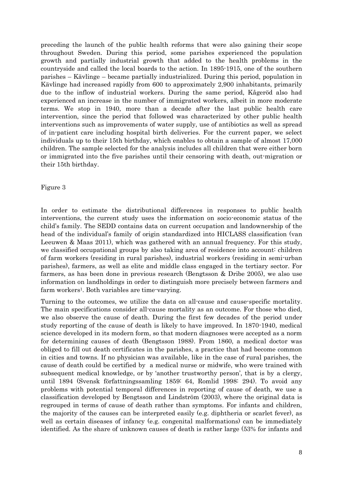preceding the launch of the public health reforms that were also gaining their scope throughout Sweden. During this period, some parishes experienced the population growth and partially industrial growth that added to the health problems in the countryside and called the local boards to the action. In 1895-1915, one of the southern parishes – Kävlinge – became partially industrialized. During this period, population in Kävlinge had increased rapidly from 600 to approximately 2,900 inhabitants, primarily due to the inflow of industrial workers. During the same period, Kågeröd also had experienced an increase in the number of immigrated workers, albeit in more moderate terms. We stop in 1940, more than a decade after the last public health care intervention, since the period that followed was characterized by other public health interventions such as improvements of water supply, use of antibiotics as well as spread of in-patient care including hospital birth deliveries. For the current paper, we select individuals up to their 15th birthday, which enables to obtain a sample of almost 17,000 children. The sample selected for the analysis includes all children that were either born or immigrated into the five parishes until their censoring with death, out-migration or their 15th birthday.

Figure 3

In order to estimate the distributional differences in responses to public health interventions, the current study uses the information on socio-economic status of the child's family. The SEDD contains data on current occupation and landownership of the head of the individual's family of origin standardized into HICLASS classification (van Leeuwen & Maas 2011), which was gathered with an annual frequency. For this study, we classified occupational groups by also taking area of residence into account: children of farm workers (residing in rural parishes), industrial workers (residing in semi-urban parishes), farmers, as well as elite and middle class engaged in the tertiary sector. For farmers, as has been done in previous research (Bengtsson & Dribe 2005), we also use information on landholdings in order to distinguish more precisely between farmers and farm workers<sup>1</sup>. Both variables are time-varying.

Turning to the outcomes, we utilize the data on all-cause and cause-specific mortality. The main specifications consider all-cause mortality as an outcome. For those who died, we also observe the cause of death. During the first few decades of the period under study reporting of the cause of death is likely to have improved. In 1870-1940, medical science developed in its modern form, so that modern diagnoses were accepted as a norm for determining causes of death (Bengtsson 1988). From 1860, a medical doctor was obliged to fill out death certificates in the parishes, a practice that had become common in cities and towns. If no physician was available, like in the case of rural parishes, the cause of death could be certified by a medical nurse or midwife, who were trained with subsequent medical knowledge, or by 'another trustworthy person', that is by a clergy, until 1894 (Svensk författningssamling 1859: 64, Romlid 1998: 294). To avoid any problems with potential temporal differences in reporting of cause of death, we use a classification developed by Bengtsson and Lindström (2003), where the original data is regrouped in terms of cause of death rather than symptoms. For infants and children, the majority of the causes can be interpreted easily (e.g. diphtheria or scarlet fever), as well as certain diseases of infancy (e.g. congenital malformations) can be immediately identified. As the share of unknown causes of death is rather large (53% for infants and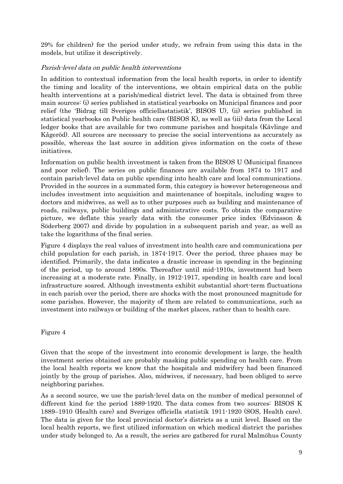29% for children) for the period under study, we refrain from using this data in the models, but utilize it descriptively.

## Parish-level data on public health interventions

In addition to contextual information from the local health reports, in order to identify the timing and locality of the interventions, we obtain empirical data on the public health interventions at a parish/medical district level. The data is obtained from three main sources: (i) series published in statistical yearbooks on Municipal finances and poor relief (the 'Bidrag till Sveriges officiellastatistik', BISOS U), (ii) series published in statistical yearbooks on Public health care (BISOS K), as well as (iii) data from the Local ledger books that are available for two commune parishes and hospitals (Kävlinge and Kågeröd). All sources are necessary to precise the social interventions as accurately as possible, whereas the last source in addition gives information on the costs of these initiatives.

Information on public health investment is taken from the BISOS U (Municipal finances and poor relief). The series on public finances are available from 1874 to 1917 and contain parish-level data on public spending into health care and local communications. Provided in the sources in a summated form, this category is however heterogeneous and includes investment into acquisition and maintenance of hospitals, including wages to doctors and midwives, as well as to other purposes such as building and maintenance of roads, railways, public buildings and administrative costs. To obtain the comparative picture, we deflate this yearly data with the consumer price index (Edvinsson & Söderberg 2007) and divide by population in a subsequent parish and year, as well as take the logarithms of the final series.

Figure 4 displays the real values of investment into health care and communications per child population for each parish, in 1874-1917. Over the period, three phases may be identified. Primarily, the data indicates a drastic increase in spending in the beginning of the period, up to around 1890s. Thereafter until mid-1910s, investment had been increasing at a moderate rate. Finally, in 1912-1917, spending in health care and local infrastructure soared. Although investments exhibit substantial short-term fluctuations in each parish over the period, there are shocks with the most pronounced magnitude for some parishes. However, the majority of them are related to communications, such as investment into railways or building of the market places, rather than to health care.

Figure 4

Given that the scope of the investment into economic development is large, the health investment series obtained are probably masking public spending on health care. From the local health reports we know that the hospitals and midwifery had been financed jointly by the group of parishes. Also, midwives, if necessary, had been obliged to serve neighboring parishes.

As a second source, we use the parish-level data on the number of medical personnel of different kind for the period 1889-1920. The data comes from two sources: BISOS K 1889–1910 (Health care) and Sveriges officiella statistik 1911-1920 (SOS, Health care). The data is given for the local provincial doctor's districts as a unit level. Based on the local health reports, we first utilized information on which medical district the parishes under study belonged to. As a result, the series are gathered for rural Malmöhus County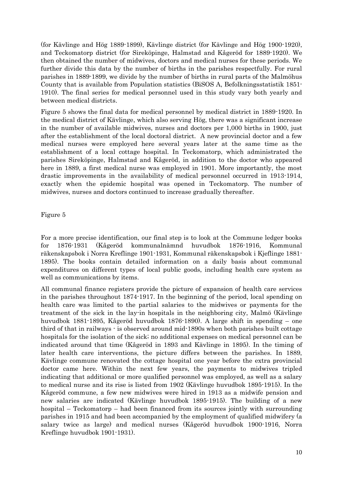(for Kävlinge and Hög 1889-1899), Kävlinge district (for Kävlinge and Hög 1900-1920), and Teckomatorp district (for Sireköpinge, Halmstad and Kågeröd for 1889-1920). We then obtained the number of midwives, doctors and medical nurses for these periods. We further divide this data by the number of births in the parishes respectfully. For rural parishes in 1889-1899, we divide by the number of births in rural parts of the Malmöhus County that is available from Population statistics (BiSOS A, Befolkningsstatistik 1851- 1910). The final series for medical personnel used in this study vary both yearly and between medical districts.

Figure 5 shows the final data for medical personnel by medical district in 1889-1920. In the medical district of Kävlinge, which also serving Hög, there was a significant increase in the number of available midwives, nurses and doctors per 1,000 births in 1900, just after the establishment of the local doctoral district. A new provincial doctor and a few medical nurses were employed here several years later at the same time as the establishment of a local cottage hospital. In Teckomatorp, which administrated the parishes Sireköpinge, Halmstad and Kågeröd, in addition to the doctor who appeared here in 1889, a first medical nurse was employed in 1901. More importantly, the most drastic improvements in the availability of medical personnel occurred in 1913-1914, exactly when the epidemic hospital was opened in Teckomatorp. The number of midwives, nurses and doctors continued to increase gradually thereafter.

Figure 5

For a more precise identification, our final step is to look at the Commune ledger books for 1876-1931 (Kågeröd kommunalnämnd huvudbok 1876-1916, Kommunal räkenskapsbok i Norra Kreflinge 1901-1931, Kommunal räkenskapsbok i Kjeflinge 1881- 1895). The books contain detailed information on a daily basis about communal expenditures on different types of local public goods, including health care system as well as communications by items.

All communal finance registers provide the picture of expansion of health care services in the parishes throughout 1874-1917. In the beginning of the period, local spending on health care was limited to the partial salaries to the midwives or payments for the treatment of the sick in the lay-in hospitals in the neighboring city, Malmö (Kävlinge huvudbok 1881-1895, Kågeröd huvudbok 1876-1890). A large shift in spending – one third of that in railways - is observed around mid-1890s when both parishes built cottage hospitals for the isolation of the sick; no additional expenses on medical personnel can be indicated around that time (Kågeröd in 1893 and Kävlinge in 1895). In the timing of later health care interventions, the picture differs between the parishes. In 1889, Kävlinge commune renovated the cottage hospital one year before the extra provincial doctor came here. Within the next few years, the payments to midwives tripled indicating that additional or more qualified personnel was employed, as well as a salary to medical nurse and its rise is listed from 1902 (Kävlinge huvudbok 1895-1915). In the Kågeröd commune, a few new midwives were hired in 1913 as a midwife pension and new salaries are indicated (Kävlinge huvudbok 1895-1915). The building of a new hospital – Teckomatorp – had been financed from its sources jointly with surrounding parishes in 1915 and had been accompanied by the employment of qualified midwifery (a salary twice as large) and medical nurses (Kågeröd huvudbok 1900-1916, Norra Kreflinge huvudbok 1901-1931).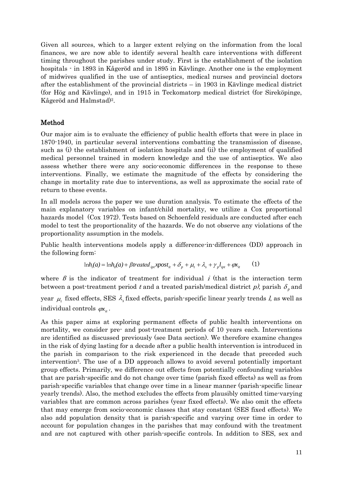Given all sources, which to a larger extent relying on the information from the local finances, we are now able to identify several health care interventions with different timing throughout the parishes under study. First is the establishment of the isolation hospitals - in 1893 in Kågeröd and in 1895 in Kävlinge. Another one is the employment of midwives qualified in the use of antiseptics, medical nurses and provincial doctors after the establishment of the provincial districts – in 1903 in Kävlinge medical district (for Hög and Kävlinge), and in 1915 in Teckomatorp medical district (for Sireköpinge, Kågeröd and Halmstad)<sup>2</sup> .

# Method

Our major aim is to evaluate the efficiency of public health efforts that were in place in 1870-1940, in particular several interventions combatting the transmission of disease, such as (i) the establishment of isolation hospitals and (ii) the employment of qualified medical personnel trained in modern knowledge and the use of antiseptics. We also assess whether there were any socio-economic differences in the response to these interventions. Finally, we estimate the magnitude of the effects by considering the change in mortality rate due to interventions, as well as approximate the social rate of return to these events.

In all models across the paper we use duration analysis. To estimate the effects of the main explanatory variables on infant/child mortality, we utilize a Cox proportional hazards model (Cox 1972). Tests based on Schoenfeld residuals are conducted after each model to test the proportionality of the hazards. We do not observe any violations of the proportionality assumption in the models.

Public health interventions models apply a difference-in-differences (DD) approach in the following form:

$$
\ln h_i(a) = \ln h_0(a) + \beta treated_{ip}xpost_{it} + \delta_p + \mu_t + \lambda_s + \gamma_p l_{ipt} + \varphi x_{it} \tag{1}
$$

where  $\beta$  is the indicator of treatment for individual *i* (that is the interaction term between a post-treatment period  $t$  and a treated parish/medical district  $p$ ), parish  $\delta_p$  and

year  $\mu$  fixed effects, SES  $\lambda$  fixed effects, parish-specific linear yearly trends *l*, as well as individual controls  $\varphi x_{i}$ .

As this paper aims at exploring permanent effects of public health interventions on mortality, we consider pre- and post-treatment periods of 10 years each. Interventions are identified as discussed previously (see Data section). We therefore examine changes in the risk of dying lasting for a decade after a public health intervention is introduced in the parish in comparison to the risk experienced in the decade that preceded such intervention<sup>3</sup> . The use of a DD approach allows to avoid several potentially important group effects. Primarily, we difference out effects from potentially confounding variables that are parish-specific and do not change over time (parish fixed effects) as well as from parish-specific variables that change over time in a linear manner (parish-specific linear yearly trends). Also, the method excludes the effects from plausibly omitted time-varying variables that are common across parishes (year fixed effects). We also omit the effects that may emerge from socio-economic classes that stay constant (SES fixed effects). We also add population density that is parish-specific and varying over time in order to account for population changes in the parishes that may confound with the treatment and are not captured with other parish-specific controls. In addition to SES, sex and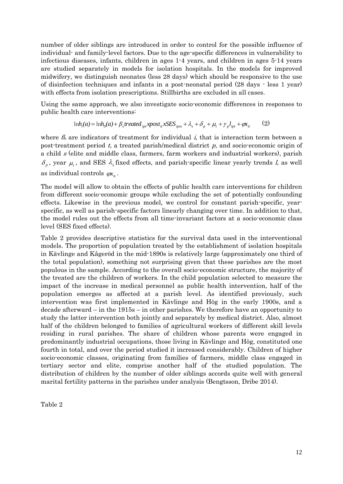number of older siblings are introduced in order to control for the possible influence of individual- and family-level factors. Due to the age-specific differences in vulnerability to infectious diseases, infants, children in ages 1-4 years, and children in ages 5-14 years are studied separately in models for isolation hospitals. In the models for improved midwifery, we distinguish neonates (less 28 days) which should be responsive to the use of disinfection techniques and infants in a post-neonatal period (28 days - less 1 year) with effects from isolation prescriptions. Stillbirths are excluded in all cases.

Using the same approach, we also investigate socio-economic differences in responses to public health care interventions:

$$
\ln h_i(a) = \ln h_0(a) + \beta_s treated_{ipt}xpost_{it}xSES_{ipst} + \lambda_s + \delta_p + \mu_t + \gamma_p l_{ipt} + \varphi x_{it} \tag{2}
$$

where  $\beta_s$  are indicators of treatment for individual *i*, that is interaction term between a post-treatment period  $t$ , a treated parish/medical district  $p$ , and socio-economic origin of a child  $s$  (elite and middle class, farmers, farm workers and industrial workers), parish  $\delta_p$ , year  $\mu_t$ , and SES  $\lambda_s$  fixed effects, and parish-specific linear yearly trends *l*, as well as individual controls  $\varphi x_i$ .

The model will allow to obtain the effects of public health care interventions for children from different socio-economic groups while excluding the set of potentially confounding effects. Likewise in the previous model, we control for constant parish-specific, yearspecific, as well as parish-specific factors linearly changing over time. In addition to that, the model rules out the effects from all time-invariant factors at a socio-economic class level (SES fixed effects).

Table 2 provides descriptive statistics for the survival data used in the interventional models. The proportion of population treated by the establishment of isolation hospitals in Kävlinge and Kågeröd in the mid-1890s is relatively large (approximately one third of the total population), something not surprising given that these parishes are the most populous in the sample. According to the overall socio-economic structure, the majority of the treated are the children of workers. In the child population selected to measure the impact of the increase in medical personnel as public health intervention, half of the population emerges as affected at a parish level. As identified previously, such intervention was first implemented in Kävlinge and Hög in the early 1900s, and a decade afterward – in the 1915s – in other parishes. We therefore have an opportunity to study the latter intervention both jointly and separately by medical district. Also, almost half of the children belonged to families of agricultural workers of different skill levels residing in rural parishes. The share of children whose parents were engaged in predominantly industrial occupations, those living in Kävlinge and Hög, constituted one fourth in total, and over the period studied it increased considerably. Children of higher socio-economic classes, originating from families of farmers, middle class engaged in tertiary sector and elite, comprise another half of the studied population. The distribution of children by the number of older siblings accords quite well with general marital fertility patterns in the parishes under analysis (Bengtsson, Dribe 2014).

Table 2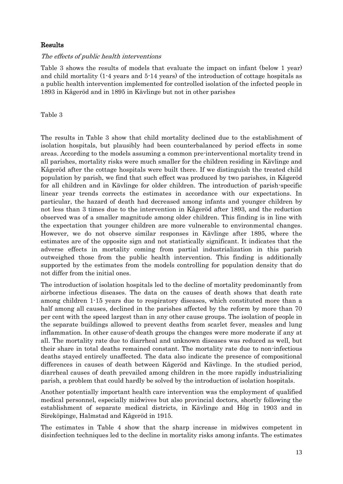## Results

#### The effects of public health interventions

Table 3 shows the results of models that evaluate the impact on infant (below 1 year) and child mortality (1-4 years and 5-14 years) of the introduction of cottage hospitals as a public health intervention implemented for controlled isolation of the infected people in 1893 in Kågeröd and in 1895 in Kävlinge but not in other parishes

#### Table 3

The results in Table 3 show that child mortality declined due to the establishment of isolation hospitals, but plausibly had been counterbalanced by period effects in some areas. According to the models assuming a common pre-interventional mortality trend in all parishes, mortality risks were much smaller for the children residing in Kävlinge and Kågeröd after the cottage hospitals were built there. If we distinguish the treated child population by parish, we find that such effect was produced by two parishes, in Kågeröd for all children and in Kävlinge for older children. The introduction of parish-specific linear year trends corrects the estimates in accordance with our expectations. In particular, the hazard of death had decreased among infants and younger children by not less than 3 times due to the intervention in Kågeröd after 1893, and the reduction observed was of a smaller magnitude among older children. This finding is in line with the expectation that younger children are more vulnerable to environmental changes. However, we do not observe similar responses in Kävlinge after 1895, where the estimates are of the opposite sign and not statistically significant. It indicates that the adverse effects in mortality coming from partial industrialization in this parish outweighed those from the public health intervention. This finding is additionally supported by the estimates from the models controlling for population density that do not differ from the initial ones.

The introduction of isolation hospitals led to the decline of mortality predominantly from airborne infectious diseases. The data on the causes of death shows that death rate among children 1-15 years due to respiratory diseases, which constituted more than a half among all causes, declined in the parishes affected by the reform by more than 70 per cent with the speed largest than in any other cause groups. The isolation of people in the separate buildings allowed to prevent deaths from scarlet fever, measles and lung inflammation. In other cause-of-death groups the changes were more moderate if any at all. The mortality rate due to diarrheal and unknown diseases was reduced as well, but their share in total deaths remained constant. The mortality rate due to non-infectious deaths stayed entirely unaffected. The data also indicate the presence of compositional differences in causes of death between Kågeröd and Kävlinge. In the studied period, diarrheal causes of death prevailed among children in the more rapidly industrializing parish, a problem that could hardly be solved by the introduction of isolation hospitals.

Another potentially important health care intervention was the employment of qualified medical personnel, especially midwives but also provincial doctors, shortly following the establishment of separate medical districts, in Kävlinge and Hög in 1903 and in Sireköpinge, Halmstad and Kågeröd in 1915.

The estimates in Table 4 show that the sharp increase in midwives competent in disinfection techniques led to the decline in mortality risks among infants. The estimates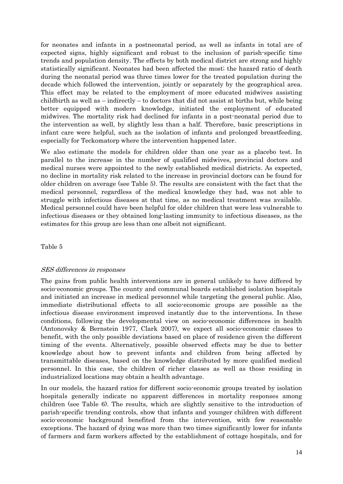for neonates and infants in a postneonatal period, as well as infants in total are of expected signs, highly significant and robust to the inclusion of parish-specific time trends and population density. The effects by both medical district are strong and highly statistically significant. Neonates had been affected the most; the hazard ratio of death during the neonatal period was three times lower for the treated population during the decade which followed the intervention, jointly or separately by the geographical area. This effect may be related to the employment of more educated midwives assisting childbirth as well as  $-$  indirectly  $-$  to doctors that did not assist at births but, while being better equipped with modern knowledge, initiated the employment of educated midwives. The mortality risk had declined for infants in a post-neonatal period due to the intervention as well, by slightly less than a half. Therefore, basic prescriptions in infant care were helpful, such as the isolation of infants and prolonged breastfeeding, especially for Teckomatorp where the intervention happened later.

We also estimate the models for children older than one year as a placebo test. In parallel to the increase in the number of qualified midwives, provincial doctors and medical nurses were appointed to the newly established medical districts. As expected, no decline in mortality risk related to the increase in provincial doctors can be found for older children on average (see Table 5). The results are consistent with the fact that the medical personnel, regardless of the medical knowledge they had, was not able to struggle with infectious diseases at that time, as no medical treatment was available. Medical personnel could have been helpful for older children that were less vulnerable to infectious diseases or they obtained long-lasting immunity to infectious diseases, as the estimates for this group are less than one albeit not significant.

Table 5

#### SES differences in responses

The gains from public health interventions are in general unlikely to have differed by socio-economic groups. The county and communal boards established isolation hospitals and initiated an increase in medical personnel while targeting the general public. Also, immediate distributional effects to all socio-economic groups are possible as the infectious disease environment improved instantly due to the interventions. In these conditions, following the developmental view on socio-economic differences in health (Antonovsky & Bernstein 1977, Clark 2007), we expect all socio-economic classes to benefit, with the only possible deviations based on place of residence given the different timing of the events. Alternatively, possible observed effects may be due to better knowledge about how to prevent infants and children from being affected by transmittable diseases, based on the knowledge distributed by more qualified medical personnel. In this case, the children of richer classes as well as those residing in industrialized locations may obtain a health advantage.

In our models, the hazard ratios for different socio-economic groups treated by isolation hospitals generally indicate no apparent differences in mortality responses among children (see Table 6). The results, which are slightly sensitive to the introduction of parish-specific trending controls, show that infants and younger children with different socio-economic background benefited from the intervention, with few reasonable exceptions. The hazard of dying was more than two times significantly lower for infants of farmers and farm workers affected by the establishment of cottage hospitals, and for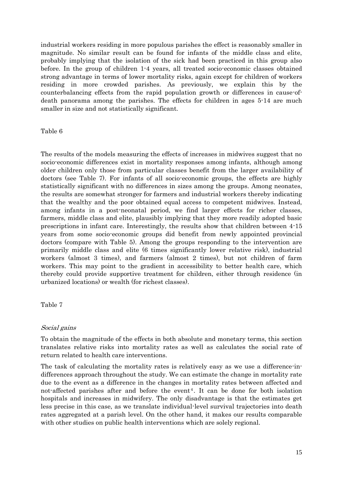industrial workers residing in more populous parishes the effect is reasonably smaller in magnitude. No similar result can be found for infants of the middle class and elite, probably implying that the isolation of the sick had been practiced in this group also before. In the group of children 1-4 years, all treated socio-economic classes obtained strong advantage in terms of lower mortality risks, again except for children of workers residing in more crowded parishes. As previously, we explain this by the counterbalancing effects from the rapid population growth or differences in cause-ofdeath panorama among the parishes. The effects for children in ages 5-14 are much smaller in size and not statistically significant.

Table 6

The results of the models measuring the effects of increases in midwives suggest that no socio-economic differences exist in mortality responses among infants, although among older children only those from particular classes benefit from the larger availability of doctors (see Table 7). For infants of all socio-economic groups, the effects are highly statistically significant with no differences in sizes among the groups. Among neonates, the results are somewhat stronger for farmers and industrial workers thereby indicating that the wealthy and the poor obtained equal access to competent midwives. Instead, among infants in a post-neonatal period, we find larger effects for richer classes, farmers, middle class and elite, plausibly implying that they more readily adopted basic prescriptions in infant care. Interestingly, the results show that children between 4-15 years from some socio-economic groups did benefit from newly appointed provincial doctors (compare with Table 5). Among the groups responding to the intervention are primarily middle class and elite (6 times significantly lower relative risk), industrial workers (almost 3 times), and farmers (almost 2 times), but not children of farm workers. This may point to the gradient in accessibility to better health care, which thereby could provide supportive treatment for children, either through residence (in urbanized locations) or wealth (for richest classes).

Table 7

#### Social gains

To obtain the magnitude of the effects in both absolute and monetary terms, this section translates relative risks into mortality rates as well as calculates the social rate of return related to health care interventions.

The task of calculating the mortality rates is relatively easy as we use a difference-indifferences approach throughout the study. We can estimate the change in mortality rate due to the event as a difference in the changes in mortality rates between affected and not-affected parishes after and before the event<sup>4</sup>. It can be done for both isolation hospitals and increases in midwifery. The only disadvantage is that the estimates get less precise in this case, as we translate individual-level survival trajectories into death rates aggregated at a parish level. On the other hand, it makes our results comparable with other studies on public health interventions which are solely regional.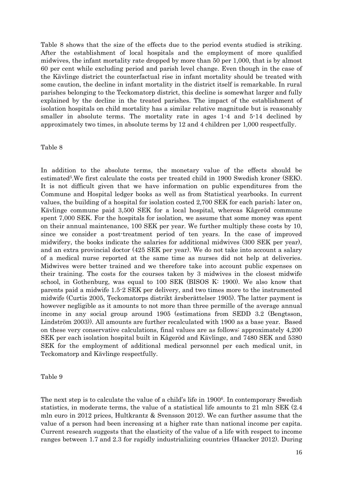Table 8 shows that the size of the effects due to the period events studied is striking. After the establishment of local hospitals and the employment of more qualified midwives, the infant mortality rate dropped by more than 50 per 1,000, that is by almost 60 per cent while excluding period and parish level change. Even though in the case of the Kävlinge district the counterfactual rise in infant mortality should be treated with some caution, the decline in infant mortality in the district itself is remarkable. In rural parishes belonging to the Teckomatorp district, this decline is somewhat larger and fully explained by the decline in the treated parishes. The impact of the establishment of isolation hospitals on child mortality has a similar relative magnitude but is reasonably smaller in absolute terms. The mortality rate in ages 1-4 and 5-14 declined by approximately two times, in absolute terms by 12 and 4 children per 1,000 respectfully.

#### Table 8

In addition to the absolute terms, the monetary value of the effects should be estimated<sup>5</sup>. We first calculate the costs per treated child in 1900 Swedish kroner (SEK). It is not difficult given that we have information on public expenditures from the Commune and Hospital ledger books as well as from Statistical yearbooks. In current values, the building of a hospital for isolation costed 2,700 SEK for each parish; later on, Kävlinge commune paid 3,500 SEK for a local hospital, whereas Kågeröd commune spent 7,000 SEK. For the hospitals for isolation, we assume that some money was spent on their annual maintenance, 100 SEK per year. We further multiply these costs by 10, since we consider a post-treatment period of ten years. In the case of improved midwifery, the books indicate the salaries for additional midwives (300 SEK per year), and an extra provincial doctor (425 SEK per year). We do not take into account a salary of a medical nurse reported at the same time as nurses did not help at deliveries. Midwives were better trained and we therefore take into account public expenses on their training. The costs for the courses taken by 3 midwives in the closest midwife school, in Gothenburg, was equal to 100 SEK (BISOS K: 1900). We also know that parents paid a midwife 1.5-2 SEK per delivery, and two times more to the instrumented midwife (Curtis 2005, Teckomatorps distrikt årsberättelser 1905). The latter payment is however negligible as it amounts to not more than three permille of the average annual income in any social group around 1905 (estimations from SEDD 3.2 (Bengtsson, Lindström 2003)). All amounts are further recalculated with 1900 as a base year. Based on these very conservative calculations, final values are as follows: approximately 4,200 SEK per each isolation hospital built in Kågeröd and Kävlinge, and 7480 SEK and 5380 SEK for the employment of additional medical personnel per each medical unit, in Teckomatorp and Kävlinge respectfully.

#### Table 9

The next step is to calculate the value of a child's life in 1900<sup>6</sup>. In contemporary Swedish statistics, in moderate terms, the value of a statistical life amounts to 21 mln SEK (2.4 mln euro in 2012 prices, Hultkrantz & Svensson 2012). We can further assume that the value of a person had been increasing at a higher rate than national income per capita. Current research suggests that the elasticity of the value of a life with respect to income ranges between 1.7 and 2.3 for rapidly industrializing countries (Haacker 2012). During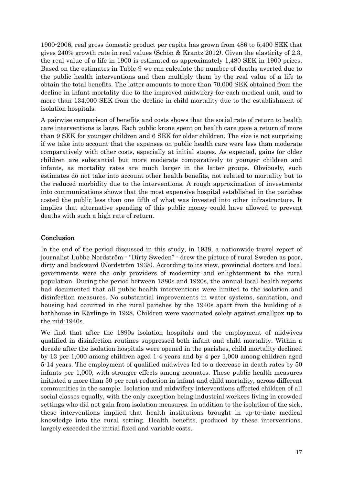1900-2006, real gross domestic product per capita has grown from 486 to 5,400 SEK that gives 240% growth rate in real values (Schön & Krantz 2012). Given the elasticity of 2.3, the real value of a life in 1900 is estimated as approximately 1,480 SEK in 1900 prices. Based on the estimates in Table 9 we can calculate the number of deaths averted due to the public health interventions and then multiply them by the real value of a life to obtain the total benefits. The latter amounts to more than 70,000 SEK obtained from the decline in infant mortality due to the improved midwifery for each medical unit, and to more than 134,000 SEK from the decline in child mortality due to the establishment of isolation hospitals.

A pairwise comparison of benefits and costs shows that the social rate of return to health care interventions is large. Each public krone spent on health care gave a return of more than 9 SEK for younger children and 6 SEK for older children. The size is not surprising if we take into account that the expenses on public health care were less than moderate comparatively with other costs, especially at initial stages. As expected, gains for older children are substantial but more moderate comparatively to younger children and infants, as mortality rates are much larger in the latter groups. Obviously, such estimates do not take into account other health benefits, not related to mortality but to the reduced morbidity due to the interventions. A rough approximation of investments into communications shows that the most expensive hospital established in the parishes costed the public less than one fifth of what was invested into other infrastructure. It implies that alternative spending of this public money could have allowed to prevent deaths with such a high rate of return.

# Conclusion

In the end of the period discussed in this study, in 1938, a nationwide travel report of journalist Lubbe Nordström - "Dirty Sweden" - drew the picture of rural Sweden as poor, dirty and backward (Nordström 1938). According to its view, provincial doctors and local governments were the only providers of modernity and enlightenment to the rural population. During the period between 1880s and 1920s, the annual local health reports had documented that all public health interventions were limited to the isolation and disinfection measures. No substantial improvements in water systems, sanitation, and housing had occurred in the rural parishes by the 1940s apart from the building of a bathhouse in Kävlinge in 1928. Children were vaccinated solely against smallpox up to the mid-1940s.

We find that after the 1890s isolation hospitals and the employment of midwives qualified in disinfection routines suppressed both infant and child mortality. Within a decade after the isolation hospitals were opened in the parishes, child mortality declined by 13 per 1,000 among children aged 1-4 years and by 4 per 1,000 among children aged 5-14 years. The employment of qualified midwives led to a decrease in death rates by 50 infants per 1,000, with stronger effects among neonates. These public health measures initiated a more than 50 per cent reduction in infant and child mortality, across different communities in the sample. Isolation and midwifery interventions affected children of all social classes equally, with the only exception being industrial workers living in crowded settings who did not gain from isolation measures. In addition to the isolation of the sick, these interventions implied that health institutions brought in up-to-date medical knowledge into the rural setting. Health benefits, produced by these interventions, largely exceeded the initial fixed and variable costs.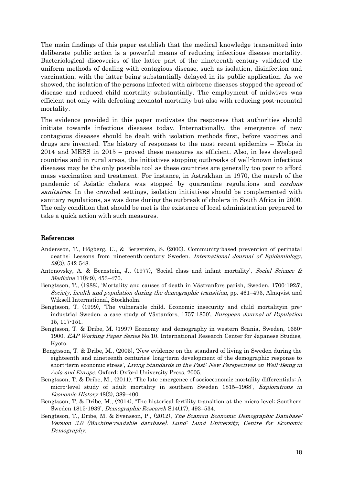The main findings of this paper establish that the medical knowledge transmitted into deliberate public action is a powerful means of reducing infectious disease mortality. Bacteriological discoveries of the latter part of the nineteenth century validated the uniform methods of dealing with contagious disease, such as isolation, disinfection and vaccination, with the latter being substantially delayed in its public application. As we showed, the isolation of the persons infected with airborne diseases stopped the spread of disease and reduced child mortality substantially. The employment of midwives was efficient not only with defeating neonatal mortality but also with reducing post-neonatal mortality.

The evidence provided in this paper motivates the responses that authorities should initiate towards infectious diseases today. Internationally, the emergence of new contagious diseases should be dealt with isolation methods first, before vaccines and drugs are invented. The history of responses to the most recent epidemics – Ebola in 2014 and MERS in 2015 – proved these measures as efficient. Also, in less developed countries and in rural areas, the initiatives stopping outbreaks of well-known infectious diseases may be the only possible tool as these countries are generally too poor to afford mass vaccination and treatment. For instance, in Astrakhan in 1970, the marsh of the pandemic of Asiatic cholera was stopped by quarantine regulations and cordons sanitaires. In the crowded settings, isolation initiatives should be complemented with sanitary regulations, as was done during the outbreak of cholera in South Africa in 2000. The only condition that should be met is the existence of local administration prepared to take a quick action with such measures.

#### References

- Andersson, T., Högberg, U., & Bergström, S. (2000). Community-based prevention of perinatal deaths: Lessons from nineteenth-century Sweden. International Journal of Epidemiology, 29(3), 542-548.
- Antonovsky, A. & Bernstein, J., (1977), 'Social class and infant mortality', Social Science & Medicine 11(8-9), 453–470.
- Bengtsson, T., (1988), 'Mortality and causes of death in Västranfors parish, Sweden, 1700-1925', Society, health and population during the demographic transition, pp. 461–493, Almqvist and Wiksell International, Stockholm.
- Bengtsson, T. (1999), 'The vulnerable child. Economic insecurity and child mortalityin preindustrial Sweden: a case study of Västanfors, 1757-1850', European Journal of Population 15, 117-151.
- Bengtsson, T. & Dribe, M. (1997) Economy and demography in western Scania, Sweden, 1650- 1900. EAP Working Paper Series No.10. International Research Center for Japanese Studies, Kyoto.
- Bengtsson, T. & Dribe, M., (2005), 'New evidence on the standard of living in Sweden during the eighteenth and nineteenth centuries: long-term development of the demographic response to short-term economic stress', Living Standards in the Past: New Perspectives on Well-Being in Asia and Europe, Oxford: Oxford University Press, 2005.
- Bengtsson, T. & Dribe, M., (2011), 'The late emergence of socioeconomic mortality differentials: A micro-level study of adult mortality in southern Sweden 1815–1968', Explorations in Economic History 48(3), 389–400.
- Bengtsson, T. & Dribe, M., (2014), 'The historical fertility transition at the micro level: Southern Sweden 1815-1939', Demographic Research S14(17), 493–534.
- Bengtsson, T., Dribe, M. & Svensson, P., (2012), The Scanian Economic Demographic Database: Version 3.0 (Machine-readable database). Lund: Lund University, Centre for Economic Demography.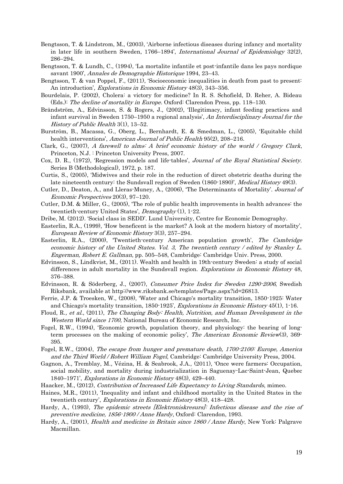- Bengtsson, T. & Lindstrom, M., (2003), 'Airborne infectious diseases during infancy and mortality in later life in southern Sweden, 1766–1894', *International Journal of Epidemiology* 32(2), 286–294.
- Bengtsson, T. & Lundh, C., (1994), 'La mortalite infantile et post-infantile dans les pays nordique savant 1900', Annales de Demographie Historique 1994, 23–43.
- Bengtsson, T. & van Poppel, F., (2011), 'Socioeconomic inequalities in death from past to present: An introduction', *Explorations in Economic History* 48(3), 343–356.
- Bourdelais, P. (2002), Cholera: a victory for medicine? In R. S. Schofield, D. Reher, A. Bideau (Eds.): The decline of mortality in Europe. Oxford: Clarendon Press, pp. 118–130.
- Brändström, A., Edvinsson, S. & Rogers, J., (2002), 'Illegitimacy, infant feeding practices and infant survival in Sweden 1750–1950 a regional analysis', An Interdisciplinary Journal for the History of Public Health 3(1), 13–52.
- Burström, B., Macassa, G., Oberg, L., Bernhardt, E. & Smedman, L., (2005), 'Equitable child health interventions', American Journal of Public Health 95(2), 208–216.
- Clark, G., (2007), A farewell to alms: A brief economic history of the world / Gregory Clark, Princeton, N.J. : Princeton University Press, 2007.
- Cox, D. R., (1972), 'Regression models and life-tables', Journal of the Royal Statistical Society. Series B (Methodological), 1972, p. 187.
- Curtis, S., (2005), 'Midwives and their role in the reduction of direct obstetric deaths during the late nineteenth century: the Sundsvall region of Sweden (1860-1890)', *Medical History* 49(3).
- Cutler, D., Deaton, A., and Lleras-Muney, A., (2006), 'The Determinants of Mortality'. Journal of Economic Perspectives 20(3), 97–120.
- Cutler, D.M. & Miller, G., (2005), 'The role of public health improvements in health advances: the twentieth-century United States', Demography (1), 1-22.
- Dribe, M. (2012). 'Social class in SEDD'. Lund University, Centre for Economic Demography.
- Easterlin, R.A., (1999), 'How beneficent is the market? A look at the modern history of mortality', European Review of Economic History 3(3), 257–294.
- Easterlin, R.A., (2000), 'Twentieth-century American population growth', The Cambridge economic history of the United States. Vol. 3, The twentieth century / edited by Stanley L. Engerman, Robert E. Gallman, pp. 505–548, Cambridge: Cambridge Univ. Press, 2000.
- Edvinsson, S., Lindkvist, M., (2011). Wealth and health in 19th-century Sweden: a study of social differences in adult mortality in the Sundsvall region. *Explorations in Economic History* 48, 376–388.
- Edvinsson, R. & Söderberg, J., (2007), Consumer Price Index for Sweden 1290-2006, Swedish Riksbank, available at http://www.riksbank.se/templates/Page.aspx?id=26813.
- Ferrie, J.P. & Troesken, W., (2008), 'Water and Chicago's mortality transition, 1850-1925: Water and Chicago's mortality transition, 1850-1925', Explorations in Economic History 45(1), 1-16.
- Floud, R., et al., (2011), The Changing Body: Health, Nutrition, and Human Development in the Western World since 1700, National Bureau of Economic Research, Inc.
- Fogel, R.W., (1994), 'Economic growth, population theory, and physiology: the bearing of longterm processes on the making of economic policy', The American Economic Review(3), 369-395.
- Fogel, R.W., (2004), The escape from hunger and premature death, 1700-2100: Europe, America and the Third World / Robert William Fogel, Cambridge: Cambridge University Press, 2004.
- Gagnon, A., Tremblay, M., Vézina, H. & Seabrook, J.A., (2011), 'Once were farmers: Occupation, social mobility, and mortality during industrialization in Saguenay-Lac-Saint-Jean, Quebec 1840–1971', Explorations in Economic History 48(3), 429–440.
- Haacker, M., (2012), Contribution of Increased Life Expectancy to Living Standards, mimeo.
- Haines, M.R., (2011), 'Inequality and infant and childhood mortality in the United States in the twentieth century', Explorations in Economic History 48(3), 418–428.
- Hardy, A., (1993), The epidemic streets [Elektroniskresurs]: Infectious disease and the rise of preventive medicine, 1856-1900 / Anne Hardy, Oxford: Clarendon, 1993.
- Hardy, A., (2001), *Health and medicine in Britain since 1860 / Anne Hardy*, New York: Palgrave Macmillan.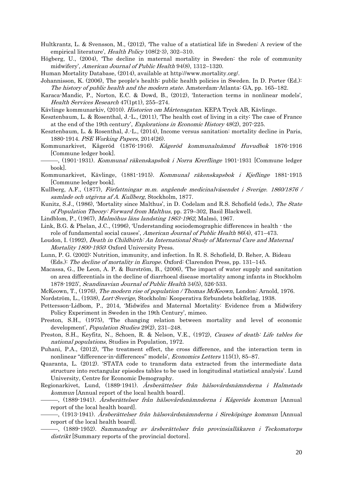Hultkrantz, L. & Svensson, M., (2012), 'The value of a statistical life in Sweden: A review of the empirical literature', *Health Policy* 108(2-3), 302-310.

- Högberg, U., (2004), 'The decline in maternal mortality in Sweden: the role of community midwifery', American Journal of Public Health 94(8), 1312–1320.
- Human Mortality Database, (2014), available at http://www.mortality.org/.

Johannisson, K. (2006), The people's health: public health policies in Sweden. In D. Porter (Ed.): The history of public health and the modern state. Amsterdam-Atlanta: GA, pp. 165–182.

Karaca-Mandic, P., Norton, E.C. & Dowd, B., (2012), 'Interaction terms in nonlinear models', Health Services Research 47(1pt1), 255–274.

Kävlinge kommunarkiv, (2010). Historien om Mårtensgatan. KEPA Tryck AB, Kävlinge.

- Kesztenbaum, L. & Rosenthal, J.-L., (2011), 'The health cost of living in a city: The case of France at the end of the 19th century', Explorations in Economic History 48(2), 207-225.
- Kesztenbaum, L. & Rosenthal, J.-L., (2014), Income versus sanitation: mortality decline in Paris, 1880-1914. PSE Working Papers, 2014(26).
- Kommunarkivet, Kågeröd (1876-1916). Kågeröd kommunalnämnd Huvudbok 1876-1916 [Commune ledger book].
- <sup>-</sup>, (1901-1931). *Kommunal räkenskapsbok i Norra Krerflinge* 1901-1931 [Commune ledger book].
- Kommunarkivet, Kävlinge, (1881-1915). Kommunal räkenskapsbok i Kjeflinge 1881-1915 [Commune ledger book].
- Kullberg, A.F., (1877), Författningar m.m. angående medicinalväsendet i Sverige. 1860/1876 / samlade och utgivna af A. Kullberg, Stockholm, 1877.
- Kunitz, S.J., (1986), 'Mortality since Malthus', in D. Codelam and R.S. Schofield (eds.), The State of Population Theory: Forward from Malthus, pp. 279–302, Basil Blackwell.
- Lindblom, P., (1967), Malmöhus läns landsting 1863-1962, Malmö, 1967.
- Link, B.G. & Phelan, J.C., (1996), 'Understanding sociodemographic differences in health the role of fundamental social causes', American Journal of Public Health 86(4), 471–473.
- Loudon, I. (1992), Death in Childbirth: An International Study of Maternal Care and Maternal Mortality 1800-1950: Oxford University Press.
- Lunn, P. G. (2002): Nutrition, immunity, and infection. In R. S. Schofield, D. Reher, A. Bideau (Eds.): The decline of mortality in Europe. Oxford: Clarendon Press, pp. 131–145.
- Macassa, G., De Leon, A. P. & Burström, B., (2006), 'The impact of water supply and sanitation on area differentials in the decline of diarrhoeal disease mortality among infants in Stockholm 1878-1925', Scandinavian Journal of Public Health 34(5), 526-533.
- McKeown, T., (1976), The modern rise of population / Thomas McKeown, London: Arnold, 1976.

Nordström, L., (1938), Lort-Sverige, Stockholm: Kooperativa förbundets bokförlag, 1938.

- Pettersson-Lidbom, P., 2014, 'Midwifes and Maternal Mortality: Evidence from a Midwifery Policy Experiment in Sweden in the 19th Century', mimeo.
- Preston, S.H., (1975), 'The changing relation between mortality and level of economic development', Population Studies 29(2), 231–248.
- Preston, S.H., Keyfitz, N., Schoen, R. & Nelson, V.E., (1972), Causes of death: Life tables for national populations, Studies in Population, 1972.
- Puhani, P.A., (2012), 'The treatment effect, the cross difference, and the interaction term in nonlinear "difference-in-differences" models', Economics Letters 115(1), 85–87.
- Quaranta, L. (2012). 'STATA code to transform data extracted from the intermediate data structure into rectangular episodes tables to be used in longitudinal statistical analysis'. Lund University, Centre for Economic Demography.
- Regionarkivet, Lund, (1889-1941). Årsberättelser från hälsovårdsnämnderna i Halmstads kommun [Annual report of the local health board].
	- –, (1889-1941). *Årsberättelser från hälsovårdsnämnderna i Kågeröds kommun* [Annual report of the local health board].
	- –, (1913-1941). *Årsberättelser från hälsovårdsnämnderna i Sireköpinge kommun* [Annual report of the local health board].
		- ———, (1889-1952). Sammandrag av årsberättelser från provinsialläkaren i Teckomatorps distrikt [Summary reports of the provincial doctors].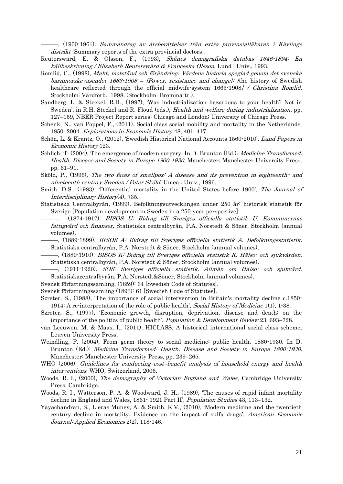–, (1900-1961). *Sammandrag av årsberättelser från extra provinsialläkaren i Kävlinge* distrikt [Summary reports of the extra provincial doctors].

- Reuterswärd, E. & Olsson, F., (1993), Skånes demografiska databas 1646-1894: En källbeskrivning / Elisabeth Reuterswärd & Franceska Olsson, Lund : Univ., 1993.
- Romlid, C., (1998), Makt, motstånd och förändring: Vårdens historia speglad genom det svenska barnmorskeväsendet 1663-1908 = [Power, resistance and change]: [the history of Swedish healthcare reflected through the official midwife-system 1663-1908] / Christina Romlid, Stockholm: Vårdförb., 1998; (Stockholm: Bromma-tr.).
- Sandberg, L. & Steckel, R.H., (1997), 'Was industrialization hazardous to your health? Not in Sweden', in R.H. Steckel and R. Floud (eds.), Health and welfare during industrialization, pp. 127–159, NBER Project Report series; Chicago and London; University of Chicago Press.
- Schenk, N., van Poppel, F., (2011). Social class social mobility and mortality in the Netherlands, 1850–2004. Explorations in Economic History 48, 401–417.
- Schön, L. & Krantz, O., (2012), 'Swedish Historical National Accounts 1560-2010', Lund Papers in Economic History 123.
- Schlich, T. (2004), The emergence of modern surgery. In D. Brunton (Ed.): *Medicine Transformed*: Health, Disease and Society in Europe 1800-1930. Manchester: Manchester University Press, pp. 61–91.
- Sköld, P., (1996), The two faces of smallpox: A disease and its prevention in eighteenth- and nineteenth-century Sweden / Peter Sköld, Umeå : Univ., 1996.
- Smith, D.S., (1983), 'Differential mortality in the United States before 1900', The Journal of Interdisciplinary History(4), 735.
- Statistiska Centralbyrån, (1999). Befolkningsutvecklingen under 250 år: historisk statistik för Sverige [Population development in Sweden in a 250-year perspective].
	- ———, (1874-1917). BISOS U: Bidrag till Sveriges officiella statistik U. Kommunernas fattigvård och finanser, Statistiska centralbyrån, P.A. Norstedt & Söner, Stockholm (annual volumes).
	- ———, (1889-1899). BISOS A: Bidrag till Sveriges officiella statistik A. Befolkningsstatistik. Statistiska centralbyrån, P.A. Norstedt & Söner, Stockholm (annual volumes).
- ———, (1889-1910). BISOS K: Bidrag till Sveriges officiella statistik K. Hälso- och sjukvården. Statistiska centralbyrån, P.A. Norstedt & Söner, Stockholm (annual volumes).
- ———, (1911-1920). SOS: Sveriges officiella statistik. Allmän om Hälso- och sjukvård. Statistiskacentralbyrån, P.A. Norstedt&Söner, Stockholm (annual volumes).
- Svensk författningssamling, (1859): 64 [Swedish Code of Statutes].
- Svensk författningssamling (1893): 61 [Swedish Code of Statutes].
- Szreter, S., (1988), 'The importance of social intervention in Britain's mortality decline c.1850- 1914: A re-interpretation of the role of public health', Social History of Medicine 1(1), 1-38.
- Szreter, S., (1997), 'Economic growth, disruption, deprivation, disease and death: on the importance of the politics of public health', *Population & Development Review* 23, 693–728.
- van Leeuwen, M. & Maas, I., (2011), HICLASS. A historical international social class scheme, Leuven University Press.
- Weindling, P. (2004), From germ theory to social medicine: public health, 1880-1930. In D. Brunton (Ed.): Medicine Transformed: Health, Disease and Society in Europe 1800-1930. Manchester: Manchester University Press, pp. 239–265.
- WHO (2006). Guidelines for conducting cost-benefit analysis of household energy and health interventions. WHO, Switzerland, 2006.
- Woods, R. I., (2000), The demography of Victorian England and Wales, Cambridge University Press, Cambridge.
- Woods, R. I., Watterson, P. A. & Woodward, J. H., (1989), 'The causes of rapid infant mortality decline in England and Wales, 1861- 1921 Part II', Population Studies 43, 113–132.
- Yayachandran, S., Lleras-Muney, A. & Smith, K.V., (2010), 'Modern medicine and the twentieth century decline in mortality: Evidence on the impact of sulfa drugs', American Economic Journal: Applied Economics 2(2), 118-146.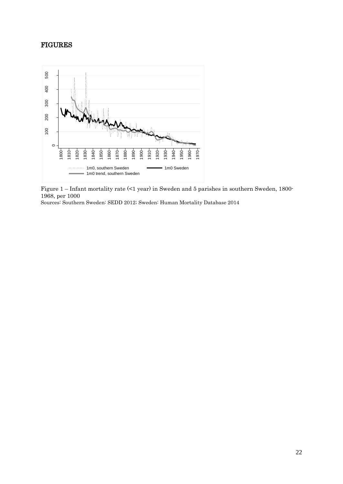# FIGURES



Figure 1 – Infant mortality rate (<1 year) in Sweden and 5 parishes in southern Sweden, 1800- 1968, per 1000

Sources: Southern Sweden: SEDD 2012; Sweden: Human Mortality Database 2014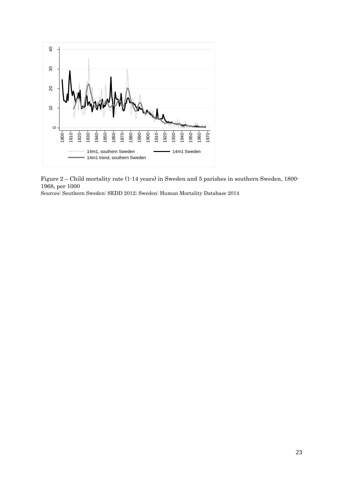

Figure 2 – Child mortality rate (1-14 years) in Sweden and 5 parishes in southern Sweden, 1800- 1968, per 1000

Sources: Southern Sweden: SEDD 2012; Sweden: Human Mortality Database 2014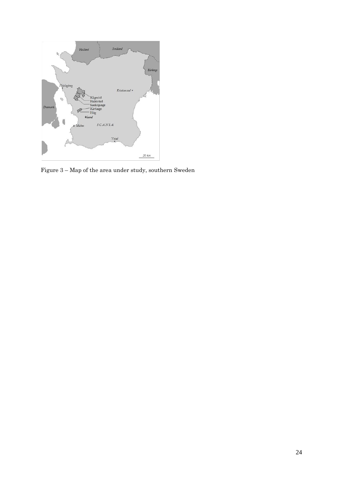

Figure 3 – Map of the area under study, southern Sweden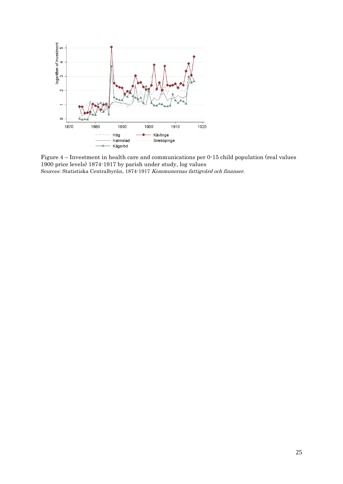

Figure 4 – Investment in health care and communications per 0-15 child population (real values 1900 price levels) 1874-1917 by parish under study, log values Sources: Statistiska Centralbyrån, 1874-1917 Kommunernas fattigvård och finanser.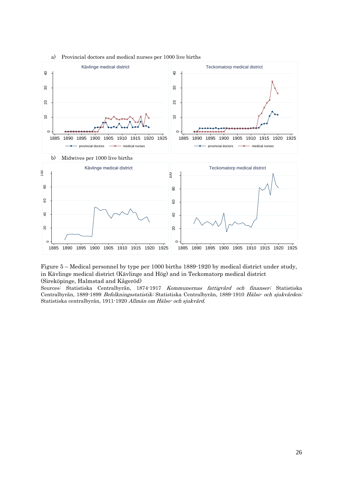

#### a) Provincial doctors and medical nurses per 1000 live births

Figure 5 – Medical personnel by type per 1000 births 1889-1920 by medical district under study, in Kävlinge medical district (Kävlinge and Hög) and in Teckomatorp medical district (Sireköpinge, Halmstad and Kågeröd)

Sources: Statistiska Centralbyrån, 1874-1917 Kommunernas fattigvård och finanser; Statistiska Centralbyrån, 1889-1899 Befolkningsstatistik; Statistiska Centralbyrån, 1889-1910 Hälso- och sjukvården; Statistiska centralbyrån, 1911-1920 Allmän om Hälso- och sjukvård.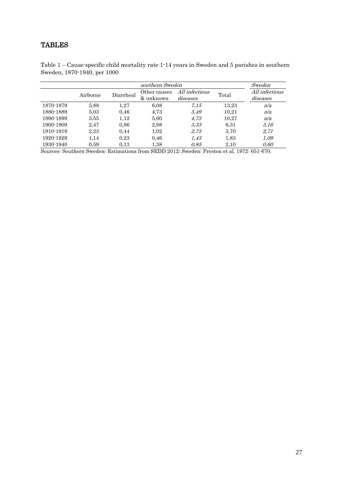# TABLES

| southern Sweden |          |           |              |                |       | Sweden         |
|-----------------|----------|-----------|--------------|----------------|-------|----------------|
|                 | Airborne | Diarrheal | Other causes | All infectious | Total | All infectious |
|                 |          |           | & unknown    | diseases       |       | diseases       |
| 1870-1879       | 5.88     | 1,27      | 6,08         | 7.15           | 13,23 | n/a            |
| 1880-1889       | 5.03     | 0,46      | 4,73         | 5.49           | 10,21 | n/a            |
| 1890-1899       | 3.55     | 1,12      | 5,60         | 4.73           | 10,27 | n/a            |
| 1900-1909       | 2.47     | 0.86      | 2,98         | 3.33           | 6.31  | 3.16           |
| 1910-1919       | 2,23     | 0.44      | 1,02         | 2,73           | 3,70  | 2,71           |
| 1920-1929       | 1,14     | 0,23      | 0,46         | 1.43           | 1,83  | 1,09           |
| 1930-1940       | 0.59     | 0.13      | $1.38\,$     | 0.85           | 2,10  | 0.60           |

Table 1 – Cause-specific child mortality rate 1-14 years in Sweden and 5 parishes in southern Sweden, 1870-1940, per 1000

Sources: Southern Sweden: Estimations from SEDD 2012; Sweden: Preston et al. 1972: 651-670.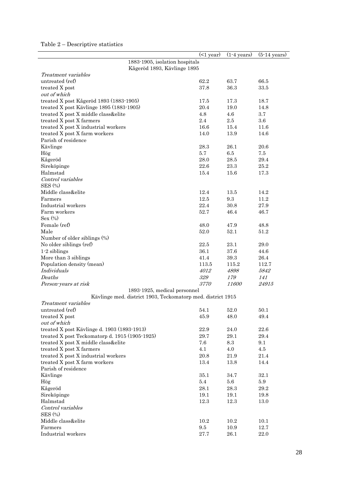# Table 2 – Descriptive statistics

l,

|                                                             | $(1$ year) | $(1-4 \text{ years})$ | $(5-14 \text{ years})$ |
|-------------------------------------------------------------|------------|-----------------------|------------------------|
| 1883-1905, isolation hospitals                              |            |                       |                        |
| Kågeröd 1893, Kävlinge 1895                                 |            |                       |                        |
| Treatment variables                                         |            |                       |                        |
| untreated (ref)                                             | 62.2       | 63.7                  | 66.5                   |
| treated X post                                              | 37.8       | 36.3                  | 33.5                   |
| out of which                                                |            |                       |                        |
| treated X post Kågeröd 1893 (1883-1905)                     | 17.5       | 17.3                  | 18.7                   |
| treated X post Kävlinge 1895 (1883-1905)                    | 20.4       | 19.0                  | 14.8                   |
| treated X post X middle class&elite                         | 4.8        | 4.6                   | 3.7                    |
| treated X post X farmers                                    | 2.4        | 2.5                   | 3.6                    |
| treated X post X industrial workers                         | 16.6       | 15.4                  | 11.6                   |
| treated X post X farm workers                               | 14.0       | 13.9                  | 14.6                   |
| Parish of residence                                         |            |                       |                        |
| Kävlinge                                                    | 28.3       | 26.1                  | 20.6                   |
| Hög                                                         | 5.7        | 6.5                   | 7.5                    |
| Kågeröd                                                     | 28.0       | 28.5                  | 29.4                   |
| Sireköpinge                                                 | 22.6       | 23.3                  | 25.2                   |
| Halmstad                                                    | 15.4       | 15.6                  | 17.3                   |
| Control variables                                           |            |                       |                        |
| SES (%)                                                     |            |                       |                        |
| Middle class&elite                                          | 12.4       | 13.5                  | 14.2                   |
| Farmers                                                     | 12.5       | 9.3                   | 11.2                   |
| Industrial workers                                          | 22.4       | 30.8                  | 27.9                   |
| Farm workers                                                | 52.7       | 46.4                  | 46.7                   |
| $Sex(\%)$                                                   |            |                       |                        |
| Female (ref)                                                | 48.0       | 47.9                  | 48.8                   |
| Male                                                        | 52.0       | 52.1                  | 51.2                   |
| Number of older siblings (%)                                |            |                       |                        |
| No older siblings (ref)                                     | 22.5       | 23.1                  | 29.0                   |
| $1-2$ siblings                                              | 36.1       | 37.6                  | 44.6                   |
| More than 3 siblings                                        | 41.4       | 39.3                  | 26.4                   |
| Population density (mean)                                   | 113.5      | 115.2                 | 112.7                  |
| Individuals                                                 | 4012       | 4898                  | 5842                   |
| Deaths                                                      | 329        | 179                   | 141                    |
| Person-years at risk                                        | 3770       | 11600                 | 24915                  |
| 1893-1925, medical personnel                                |            |                       |                        |
| Kävlinge med. district 1903, Teckomatorp med. district 1915 |            |                       |                        |
| Treatment variables                                         |            |                       |                        |
| untreated (ref)                                             | 54.1       | 52.0                  | $50.1\,$               |
| treated X post                                              | 45.9       | 48.0                  | 49.4                   |
| out of which                                                |            |                       |                        |
| treated X post Kävlinge d. 1903 (1893-1913)                 | 22.9       | $24.0\,$              | $22.6\,$               |
| treated X post Teckomatorp d. 1915 (1905-1925)              | 29.7       | $29.1\,$              | $29.4\,$               |
| treated X post X middle class&elite                         | 7.6        | 8.3                   | 9.1                    |
| treated X post X farmers                                    | 4.1        | $4.0\,$               | $4.5\,$                |
| treated X post X industrial workers                         | $20.8\,$   | $21.9\,$              | 21.4                   |
| treated X post X farm workers                               | $13.4\,$   | 13.8                  | 14.4                   |
| Parish of residence                                         |            |                       |                        |
| Kävlinge                                                    | 35.1       | 34.7                  | 32.1                   |
| Hög                                                         | $5.4\,$    | $5.6\,$               | 5.9                    |
| Kågeröd                                                     | 28.1       | $28.3\,$              | $29.2\,$               |
| Sireköpinge                                                 | 19.1       | 19.1                  | 19.8                   |
| Halmstad                                                    | 12.3       | 12.3                  | 13.0                   |
| Control variables                                           |            |                       |                        |
| <b>SES (%)</b>                                              |            |                       |                        |
| Middle class&elite                                          | $10.2\,$   | 10.2                  | 10.1                   |
| Farmers                                                     | 9.5        | $10.9\,$              | 12.7                   |
| Industrial workers                                          | $27.7\,$   | $26.1\,$              | $22.0\,$               |
|                                                             |            |                       |                        |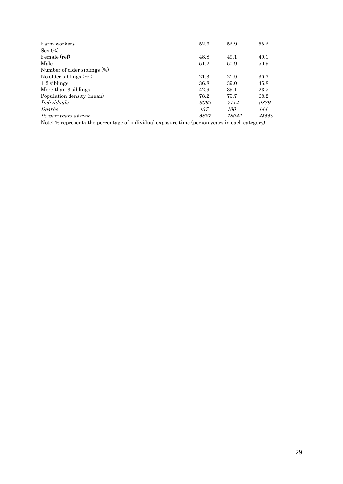| Farm workers                 | 52.6 | 52.9       | 55.2  |
|------------------------------|------|------------|-------|
| Sex (%)                      |      |            |       |
| Female (ref)                 | 48.8 | 49.1       | 49.1  |
| Male                         | 51.2 | 50.9       | 50.9  |
| Number of older siblings (%) |      |            |       |
| No older siblings (ref)      | 21.3 | 21.9       | 30.7  |
| $1-2$ siblings               | 36.8 | 39.0       | 45.8  |
| More than 3 siblings         | 42.9 | 39.1       | 23.5  |
| Population density (mean)    | 78.2 | 75.7       | 68.2  |
| Individuals                  | 6090 | 7714       | 9879  |
| Deaths                       | 437  | <i>180</i> | 144   |
| Person-years at risk         | 5827 | 18942      | 45550 |

Note: % represents the percentage of individual exposure time (person years in each category).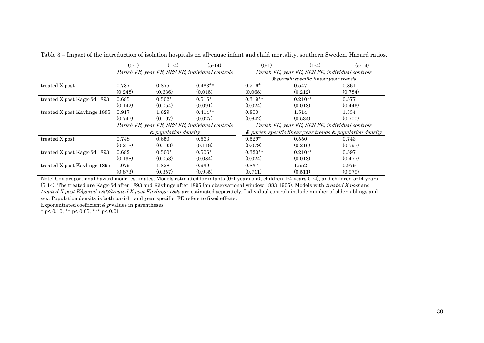|                              | $(0-1)$                                         | $(1-4)$              | $(5-14)$                                        | $(0-1)$                                                         | $(1-4)$                              | $(5-14)$ |  |  |
|------------------------------|-------------------------------------------------|----------------------|-------------------------------------------------|-----------------------------------------------------------------|--------------------------------------|----------|--|--|
|                              | Parish FE, year FE, SES FE, individual controls |                      |                                                 | Parish FE, year FE, SES FE, individual controls                 |                                      |          |  |  |
|                              |                                                 |                      |                                                 |                                                                 | & parish-specific linear year trends |          |  |  |
| treated X post               | 0.787                                           | 0.875                | $0.463**$                                       | $0.516*$                                                        | 0.547                                | 0.861    |  |  |
|                              | (0.248)                                         | (0.636)              | (0.015)                                         | (0.068)                                                         | (0.212)                              | (0.784)  |  |  |
| treated X post Kågeröd 1893  | 0.685                                           | $0.502*$             | $0.515*$                                        | $0.319**$                                                       | $0.210**$                            | 0.577    |  |  |
|                              | (0.142)                                         | (0.054)              | (0.091)                                         | (0.024)                                                         | (0.018)                              | (0.446)  |  |  |
| treated X post Kävlinge 1895 | 0.917                                           | 1.629                | $0.414**$                                       | 0.800                                                           | 1.514                                | 1.334    |  |  |
|                              | (0.747)                                         | (0.197)              | (0.027)                                         | (0.642)                                                         | (0.534)                              | (0.700)  |  |  |
|                              |                                                 |                      | Parish FE, year FE, SES FE, individual controls | Parish FE, year FE, SES FE, individual controls                 |                                      |          |  |  |
|                              |                                                 | & population density |                                                 | $\&$ parish-specific linear year trends $\&$ population density |                                      |          |  |  |
| treated X post               | 0.748                                           | 0.650                | 0.563                                           | $0.529*$                                                        | 0.550                                | 0.743    |  |  |
|                              | (0.218)                                         | (0.183)              | (0.118)                                         | (0.079)                                                         | (0.216)                              | (0.597)  |  |  |
| treated X post Kågeröd 1893  | 0.682                                           | $0.500*$             | $0.506*$                                        | $0.320**$                                                       | $0.210**$                            | 0.597    |  |  |
|                              | (0.138)                                         | (0.053)              | (0.084)                                         | (0.024)                                                         | (0.018)                              | (0.477)  |  |  |
| treated X post Käylinge 1895 | 1.079                                           | 1.828                | 0.939                                           | 0.837                                                           | 1.552                                | 0.979    |  |  |
|                              | (0.873)                                         | (0.357)              | (0.935)                                         | (0.711)                                                         | (0.511)                              | (0.979)  |  |  |

Table 3 – Impact of the introduction of isolation hospitals on all-cause infant and child mortality, southern Sweden. Hazard ratios.

Note: Cox proportional hazard model estimates. Models estimated for infants (0-1 years old), children 1-4 years (1-4), and children 5-14 years (5-14). The treated are Kågeröd after 1893 and Kävlinge after 1895 (an observational window 1883-1905). Models with treated X post and treated X post Kågeröd 1893/treated X post Kävlinge 1895 are estimated separately. Individual controls include number of older siblings and sex. Population density is both parish- and year-specific. FE refers to fixed effects.

Exponentiated coefficients;  $p$ -values in parentheses

\* p< 0.10, \*\* p< 0.05, \*\*\* p< 0.01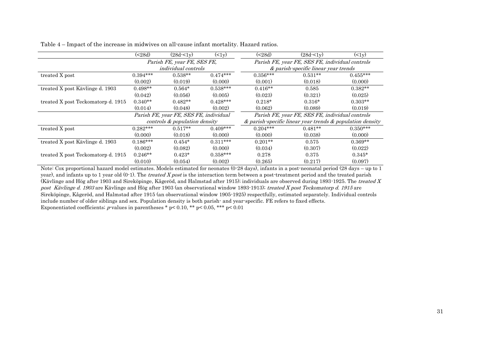|                                    | ( < 28d)   | $(28d - 51v)$                          | $(2 - 1y)$ | ( < 28d)                                                        | $(28d - 1y)$                                    | $(2 - 1y)$ |  |  |
|------------------------------------|------------|----------------------------------------|------------|-----------------------------------------------------------------|-------------------------------------------------|------------|--|--|
|                                    |            | Parish FE, year FE, SES FE,            |            |                                                                 | Parish FE, year FE, SES FE, individual controls |            |  |  |
|                                    |            | <i>individual controls</i>             |            |                                                                 | & parish-specific linear year trends            |            |  |  |
| treated X post                     | $0.394***$ | $0.538**$                              | $0.474***$ | $0.356***$                                                      | $0.531**$                                       | $0.455***$ |  |  |
|                                    | (0.002)    | (0.019)                                | (0.000)    | (0.001)                                                         | (0.018)                                         | (0.000)    |  |  |
| treated X post Kävlinge d. 1903    | $0.498**$  | $0.564*$                               | $0.538***$ | $0.416**$                                                       | 0.585                                           | $0.382**$  |  |  |
|                                    | (0.042)    | (0.056)                                | (0.005)    | (0.023)                                                         | (0.321)                                         | (0.025)    |  |  |
| treated X post Teckomatorp d. 1915 | $0.340**$  | $0.482**$                              | $0.428***$ | $0.218*$                                                        | $0.316*$                                        | $0.303**$  |  |  |
|                                    | (0.014)    | (0.048)                                | (0.002)    | (0.062)                                                         | (0.089)                                         | (0.019)    |  |  |
|                                    |            | Parish FE, year FE, SES FE, individual |            | Parish FE, year FE, SES FE, individual controls                 |                                                 |            |  |  |
|                                    |            | controls & population density          |            | $\&$ parish-specific linear year trends $\&$ population density |                                                 |            |  |  |
| treated X post                     | $0.282***$ | $0.517**$                              | $0.409***$ | $0.204***$                                                      | $0.481**$                                       | $0.350***$ |  |  |
|                                    | (0.000)    | (0.018)                                | (0.000)    | (0.000)                                                         | (0.038)                                         | (0.000)    |  |  |
| treated X post Kävlinge d. 1903    | $0.186***$ | $0.454*$                               | $0.311***$ | $0.201**$                                                       | 0.575                                           | $0.369**$  |  |  |
|                                    | (0.002)    | (0.082)                                | (0.000)    | (0.034)                                                         | (0.307)                                         | (0.022)    |  |  |
| treated X post Teckomatorp d. 1915 | $0.246**$  | $0.423*$                               | $0.358***$ | 0.278                                                           | 0.375                                           | $0.345*$   |  |  |
|                                    | (0.010)    | (0.054)                                | (0.002)    | (0.265)                                                         | (0.217)                                         | (0.097)    |  |  |

Table 4 – Impact of the increase in midwives on all-cause infant mortality. Hazard ratios.

Note: Cox proportional hazard model estimates. Models estimated for neonates (0-28 days), infants in a post-neonatal period (28 days – up to 1 year), and infants up to 1 year old  $(0-1)$ . The *treated X post* is the interaction term between a post-treatment period and the treated parish (Kävlinge and Hög after 1903 and Sireköpinge, Kågeröd, and Halmstad after 1915); individuals are observed during 1893-1925. The treated X post Käylinge d. 1903 are Käylinge and Hög after 1903 (an observational window 1893-1913); treated X post Teckomatorp d. 1915 are Sireköpinge, Kågeröd, and Halmstad after 1915 (an observational window 1905-1925) respectfully, estimated separately. Individual controls include number of older siblings and sex. Population density is both parish- and year-specific. FE refers to fixed effects. Exponentiated coefficients; *p*-values in parentheses \*  $p < 0.10$ , \*\*  $p < 0.05$ , \*\*\*  $p < 0.01$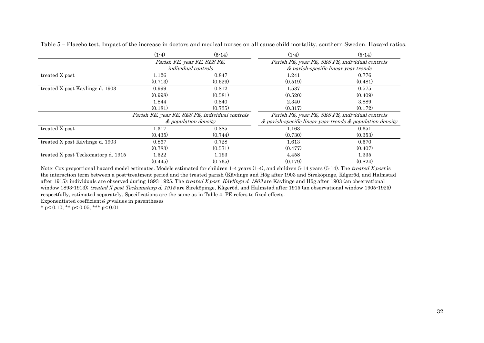|                                    | $(1-4)$ | $(5-14)$                                        | $(1-4)$                                                         | $(5-14)$ |  |  |
|------------------------------------|---------|-------------------------------------------------|-----------------------------------------------------------------|----------|--|--|
|                                    |         | Parish FE, year FE, SES FE,                     | Parish FE, year FE, SES FE, individual controls                 |          |  |  |
|                                    |         | <i>individual controls</i>                      | & parish-specific linear year trends                            |          |  |  |
| treated X post                     | 1.126   | 0.847                                           | 1.241                                                           | 0.776    |  |  |
|                                    | (0.713) | (0.629)                                         | (0.519)                                                         | (0.481)  |  |  |
| treated X post Kävlinge d. 1903    | 0.999   | 0.812                                           | 1.537                                                           | 0.575    |  |  |
|                                    | (0.998) | (0.581)                                         | (0.520)                                                         | (0.409)  |  |  |
|                                    | 1.844   | 0.840                                           | 2.340                                                           | 3.889    |  |  |
|                                    | (0.181) | (0.735)                                         | (0.317)                                                         | (0.172)  |  |  |
|                                    |         | Parish FE, year FE, SES FE, individual controls | Parish FE, year FE, SES FE, individual controls                 |          |  |  |
|                                    |         | & population density                            | $\&$ parish-specific linear year trends $\&$ population density |          |  |  |
| treated X post                     | 1.317   | 0.885                                           | 1.163                                                           | 0.651    |  |  |
|                                    | (0.435) | (0.744)                                         | (0.730)                                                         | (0.353)  |  |  |
| treated X post Käylinge d. 1903    | 0.867   | 0.728                                           | 1.613                                                           | 0.570    |  |  |
|                                    | (0.783) | (0.571)                                         | (0.477)                                                         | (0.407)  |  |  |
| treated X post Teckomatorp d. 1915 | 1.522   | 1.193                                           | 4.458                                                           | 1.335    |  |  |
|                                    | (0.445) | (0.765)                                         | (0.179)                                                         | (0.824)  |  |  |

Table 5 – Placebo test. Impact of the increase in doctors and medical nurses on all-cause child mortality, southern Sweden. Hazard ratios.

Note: Cox proportional hazard model estimates. Models estimated for children 1-4 years (1-4), and children 5-14 years (5-14). The treated X post is the interaction term between a post-treatment period and the treated parish (Kävlinge and Hög after 1903 and Sireköpinge, Kågeröd, and Halmstad after 1915); individuals are observed during 1893-1925. The treated X post Kävlinge d. 1903 are Kävlinge and Hög after 1903 (an observational window 1893-1913); treated X post Teckomatorp d. 1915 are Sireköpinge, Kågeröd, and Halmstad after 1915 (an observational window 1905-1925) respectfully, estimated separately. Specifications are the same as in Table 4. FE refers to fixed effects.

Exponentiated coefficients;  $p$ -values in parentheses

\* p< 0.10, \*\* p< 0.05, \*\*\* p< 0.01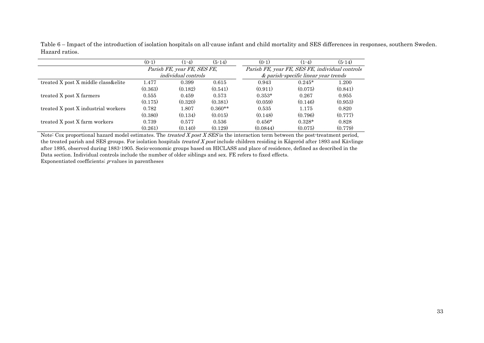Table 6 – Impact of the introduction of isolation hospitals on all-cause infant and child mortality and SES differences in responses, southern Sweden. Hazard ratios.

|                                       | $(0-1)$ | $(1-4)$                     | $(5-14)$  | $(0-1)$                                         | $(1-4)$                              | $(5-14)$ |
|---------------------------------------|---------|-----------------------------|-----------|-------------------------------------------------|--------------------------------------|----------|
|                                       |         | Parish FE, year FE, SES FE, |           | Parish FE, year FE, SES FE, individual controls |                                      |          |
|                                       |         | <i>individual controls</i>  |           |                                                 | & parish-specific linear year trends |          |
| treated X post X middle class & elite | 1.477   | 0.399                       | 0.615     | 0.943                                           | $0.245*$                             | 1.200    |
|                                       | (0.363) | (0.182)                     | (0.541)   | (0.911)                                         | (0.075)                              | (0.841)  |
| treated X post X farmers              | 0.555   | 0.459                       | 0.573     | $0.353*$                                        | 0.267                                | 0.955    |
|                                       | (0.175) | (0.320)                     | (0.381)   | (0.059)                                         | (0.146)                              | (0.953)  |
| treated X post X industrial workers   | 0.782   | 1.807                       | $0.360**$ | 0.535                                           | 1.175                                | 0.820    |
|                                       | (0.380) | (0.134)                     | (0.015)   | (0.148)                                         | (0.796)                              | (0.777)  |
| treated X post X farm workers         | 0.739   | 0.577                       | 0.536     | $0.456*$                                        | $0.328*$                             | 0.828    |
|                                       | (0.261) | (0.140)                     | (0.129)   | (0.0844)                                        | (0.075)                              | (0.779)  |

Note: Cox proportional hazard model estimates. The *treated X post X SES* is the interaction term between the post-treatment period, the treated parish and SES groups. For isolation hospitals treated X post include children residing in Kågeröd after 1893 and Kävlinge after 1895, observed during 1883-1905. Socio-economic groups based on HICLASS and place of residence, defined as described in the Data section. Individual controls include the number of older siblings and sex. FE refers to fixed effects. Exponentiated coefficients;  $p$ -values in parentheses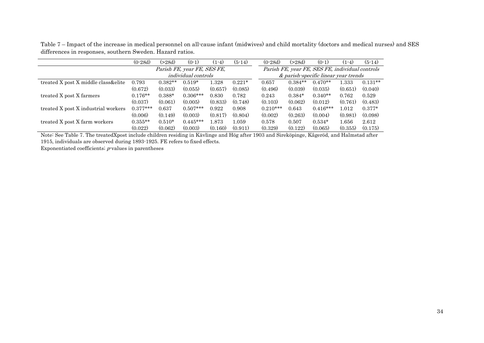Table 7 – Impact of the increase in medical personnel on all-cause infant (midwives) and child mortality (doctors and medical nurses) and SES differences in responses, southern Sweden. Hazard ratios.

|                                     | $(0-28d)$  | (>28d)    | $(0-1)$                     | $(1-4)$ | $(5-14)$ | $(0-28d)$  | (>28d)    | $(0-1)$                                         | $(1-4)$ | $(5-14)$  |
|-------------------------------------|------------|-----------|-----------------------------|---------|----------|------------|-----------|-------------------------------------------------|---------|-----------|
|                                     |            |           | Parish FE, year FE, SES FE, |         |          |            |           | Parish FE, year FE, SES FE, individual controls |         |           |
|                                     |            |           | <i>individual controls</i>  |         |          |            |           | & parish-specific linear year trends            |         |           |
| treated X post X middle class&elite | 0.793      | $0.382**$ | $0.519*$                    | 1.328   | $0.221*$ | 0.657      | $0.384**$ | $0.470**$                                       | 1.333   | $0.131**$ |
|                                     | (0.672)    | (0.033)   | (0.055)                     | (0.657) | (0.085)  | (0.496)    | (0.039)   | (0.035)                                         | (0.651) | (0.040)   |
| treated X post X farmers            | $0.176**$  | $0.388*$  | $0.306***$                  | 0.830   | 0.782    | 0.243      | $0.384*$  | $0.340**$                                       | 0.762   | 0.529     |
|                                     | (0.037)    | (0.061)   | (0.005)                     | (0.833) | (0.748)  | (0.103)    | (0.062)   | (0.012)                                         | (0.761) | (0.483)   |
| treated X post X industrial workers | $0.377***$ | 0.637     | $0.507***$                  | 0.922   | 0.908    | $0.210***$ | 0.643     | $0.416***$                                      | 1.012   | $0.377*$  |
|                                     | (0.006)    | (0.149)   | (0.003)                     | (0.817) | (0.804)  | (0.002)    | (0.263)   | (0.004)                                         | (0.981) | (0.098)   |
| treated X post X farm workers       | $0.355**$  | $0.510*$  | $0.445***$                  | 1.873   | 1.059    | 0.578      | 0.507     | $0.534*$                                        | 1.656   | 2.612     |
|                                     | (0.022)    | (0.062)   | (0.003)                     | (0.160) | (0.911)  | (0.329)    | (0.122)   | (0.065)                                         | (0.355) | (0.175)   |

Note: See Table 7. The treatedXpost include children residing in Kävlinge and Hög after 1903 and Sireköpinge, Kågeröd, and Halmstad after 1915, individuals are observed during 1893-1925. FE refers to fixed effects.

Exponentiated coefficients;  $p$ -values in parentheses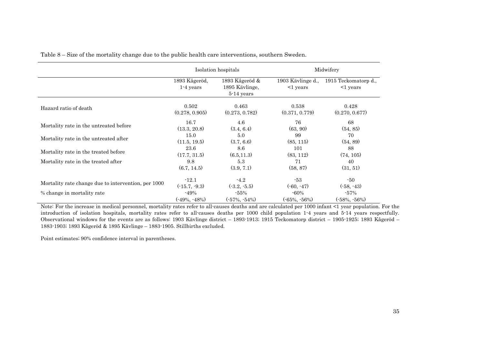|                                                     |                              | Isolation hospitals                            | Midwifery                           |                                        |  |
|-----------------------------------------------------|------------------------------|------------------------------------------------|-------------------------------------|----------------------------------------|--|
|                                                     | 1893 Kågeröd,<br>$1-4$ years | 1893 Kågeröd &<br>1895 Kävlinge,<br>5-14 years | 1903 Kävlinge d.,<br>$\leq$ 1 years | 1915 Teckomatorp d.,<br>$\leq$ 1 years |  |
| Hazard ratio of death                               | 0.502                        | 0.463                                          | 0.538                               | 0.428                                  |  |
|                                                     | (0.278, 0.905)               | (0.273, 0.782)                                 | (0.371, 0.779)                      | (0.270, 0.677)                         |  |
| Mortality rate in the untreated before              | 16.7                         | 4.6                                            | 76                                  | 68                                     |  |
|                                                     | (13.3, 20.8)                 | (3.4, 6.4)                                     | (63, 90)                            | (54, 85)                               |  |
| Mortality rate in the untreated after               | 15.0                         | 5.0                                            | 99                                  | 70                                     |  |
|                                                     | (11.5, 19.5)                 | (3.7, 6.6)                                     | (85, 115)                           | (54, 89)                               |  |
| Mortality rate in the treated before                | 23.6                         | 8.6                                            | 101                                 | 88                                     |  |
|                                                     | (17.7, 31.5)                 | (6.5, 11.3)                                    | (83, 112)                           | (74, 105)                              |  |
| Mortality rate in the treated after                 | 9.8                          | 5.3                                            | 71                                  | 40                                     |  |
|                                                     | (6.7, 14.5)                  | (3.9, 7.1)                                     | (58, 87)                            | (31, 51)                               |  |
| Mortality rate change due to intervention, per 1000 | $-12.1$                      | $-4.2$                                         | $-53$                               | -50                                    |  |
|                                                     | $(-15.7, -9.3)$              | $(-3.2, -5.5)$                                 | $(-60, -47)$                        | $(-58, -43)$                           |  |
| % change in mortality rate                          | $-49%$                       | $-55\%$                                        | $-60\%$                             | $-57\%$                                |  |
|                                                     | $(-49\%, -48\%)$             | $(-57\%, -54\%)$                               | $(-65\%, -56\%)$                    | $(-58\%, -56\%)$                       |  |

Table 8 – Size of the mortality change due to the public health care interventions, southern Sweden.

Note: For the increase in medical personnel, mortality rates refer to all-causes deaths and are calculated per 1000 infant <1 year population. For the introduction of isolation hospitals, mortality rates refer to all-causes deaths per 1000 child population 1-4 years and 5-14 years respectfully. Observational windows for the events are as follows: 1903 Kävlinge district – 1893-1913; 1915 Teckomatorp district – 1905-1925; 1893 Kågeröd – 1883-1903; 1893 Kågeröd & 1895 Kävlinge – 1883-1905. Stillbirths excluded.

Point estimates; 90% confidence interval in parentheses.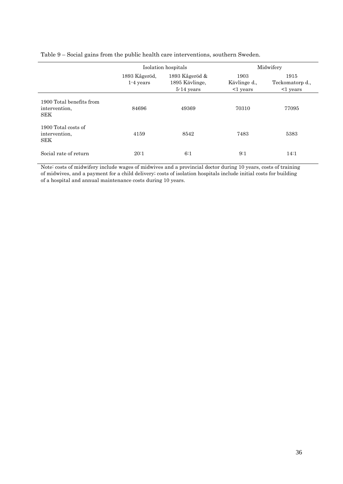|                                                  |                              | Isolation hospitals                                 | Midwifery                              |                                           |  |  |
|--------------------------------------------------|------------------------------|-----------------------------------------------------|----------------------------------------|-------------------------------------------|--|--|
|                                                  | 1893 Kågeröd,<br>$1-4$ years | 1893 Kågeröd $\&$<br>1895 Kävlinge,<br>$5-14$ years | 1903<br>Kävlinge d.,<br>$\leq 1$ years | 1915<br>Teckomatorp d.,<br>$\leq$ 1 years |  |  |
| 1900 Total benefits from<br>intervention.<br>SEK | 84696                        | 49369                                               | 70310                                  | 77095                                     |  |  |
| 1900 Total costs of<br>intervention,<br>SEK      | 4159                         | 8542                                                | 7483                                   | 5383                                      |  |  |
| Social rate of return                            | 20:1                         | 6:1                                                 | 9:1                                    | 14:1                                      |  |  |

Table 9 – Social gains from the public health care interventions, southern Sweden.

Note: costs of midwifery include wages of midwives and a provincial doctor during 10 years, costs of training of midwives, and a payment for a child delivery; costs of isolation hospitals include initial costs for building of a hospital and annual maintenance costs during 10 years.